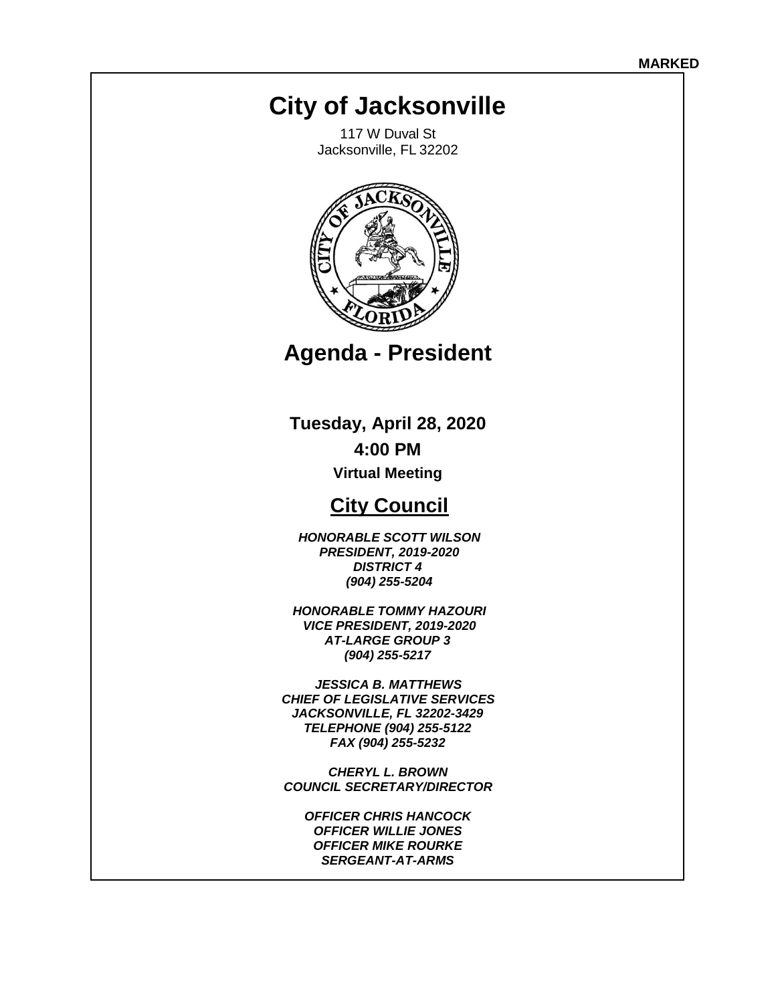# **City of Jacksonville**

117 W Duval St Jacksonville, FL 32202



**Agenda - President** 

**Tuesday, April 28, 2020 4:00 PM** 

**Virtual Meeting** 

## **City Council**

*HONORABLE SCOTT WILSON PRESIDENT, 2019-2020 DISTRICT 4 (904) 255-5204*

*HONORABLE TOMMY HAZOURI VICE PRESIDENT, 2019-2020 AT-LARGE GROUP 3 (904) 255-5217*

*JESSICA B. MATTHEWS CHIEF OF LEGISLATIVE SERVICES JACKSONVILLE, FL 32202-3429 TELEPHONE (904) 255-5122 FAX (904) 255-5232* 

*CHERYL L. BROWN COUNCIL SECRETARY/DIRECTOR* 

*OFFICER CHRIS HANCOCK OFFICER WILLIE JONES OFFICER MIKE ROURKE SERGEANT-AT-ARMS*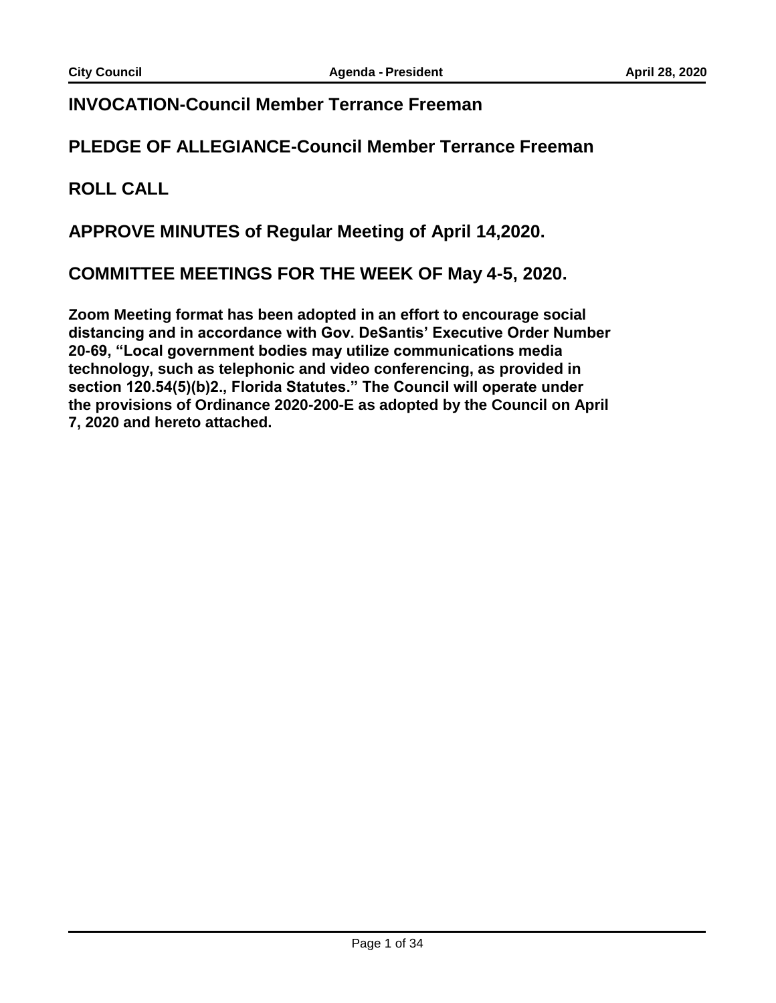#### **INVOCATION-Council Member Terrance Freeman**

#### **PLEDGE OF ALLEGIANCE-Council Member Terrance Freeman**

#### **ROLL CALL**

#### **APPROVE MINUTES of Regular Meeting of April 14,2020.**

#### **COMMITTEE MEETINGS FOR THE WEEK OF May 4-5, 2020.**

**Zoom Meeting format has been adopted in an effort to encourage social distancing and in accordance with Gov. DeSantis' Executive Order Number 20-69, "Local government bodies may utilize communications media technology, such as telephonic and video conferencing, as provided in section 120.54(5)(b)2., Florida Statutes." The Council will operate under the provisions of Ordinance 2020-200-E as adopted by the Council on April 7, 2020 and hereto attached.**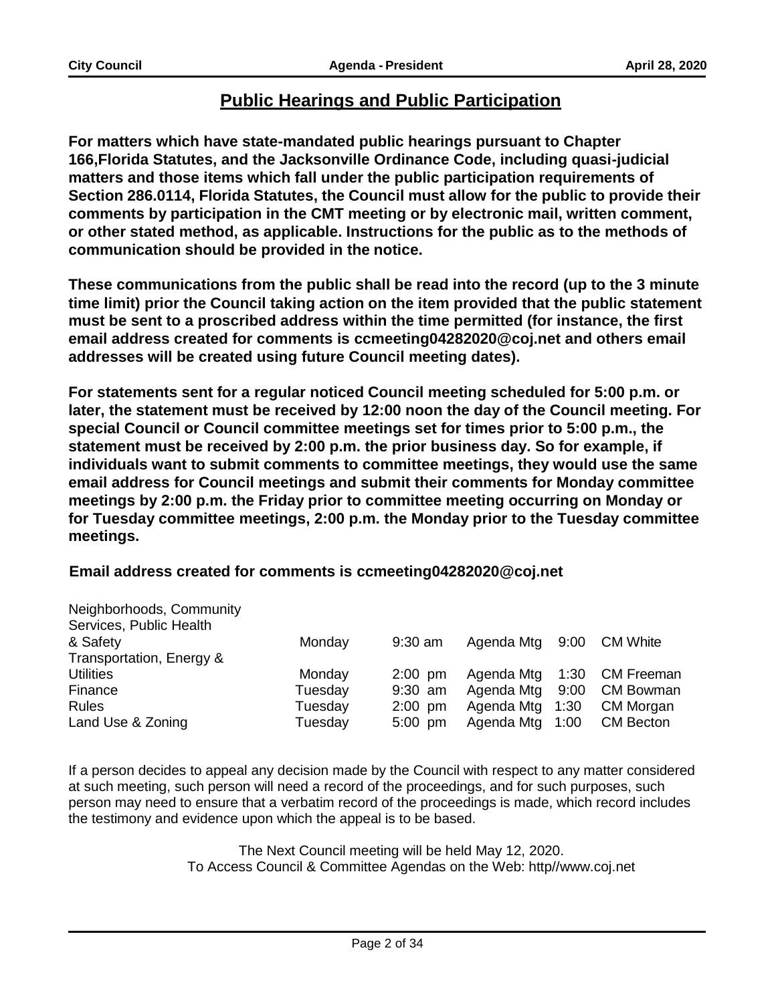#### **Public Hearings and Public Participation**

**For matters which have state-mandated public hearings pursuant to Chapter 166,Florida Statutes, and the Jacksonville Ordinance Code, including quasi-judicial matters and those items which fall under the public participation requirements of Section 286.0114, Florida Statutes, the Council must allow for the public to provide their comments by participation in the CMT meeting or by electronic mail, written comment, or other stated method, as applicable. Instructions for the public as to the methods of communication should be provided in the notice.** 

**These communications from the public shall be read into the record (up to the 3 minute time limit) prior the Council taking action on the item provided that the public statement must be sent to a proscribed address within the time permitted (for instance, the first email address created for comments is [ccmeeting04282020@coj.net a](mailto:ccmeeting04282020@coj.net)nd others email addresses will be created using future Council meeting dates).** 

**For statements sent for a regular noticed Council meeting scheduled for 5:00 p.m. or later, the statement must be received by 12:00 noon the day of the Council meeting. For special Council or Council committee meetings set for times prior to 5:00 p.m., the statement must be received by 2:00 p.m. the prior business day. So for example, if individuals want to submit comments to committee meetings, they would use the same email address for Council meetings and submit their comments for Monday committee meetings by 2:00 p.m. the Friday prior to committee meeting occurring on Monday or for Tuesday committee meetings, 2:00 p.m. the Monday prior to the Tuesday committee meetings.** 

#### **Email address created for comments is [ccmeeting04282020@coj.net](mailto:ccmeeting04282020@coj.net)**

| Neighborhoods, Community |         |           |            |      |                  |
|--------------------------|---------|-----------|------------|------|------------------|
| Services, Public Health  |         |           |            |      |                  |
| & Safety                 | Monday  | $9:30$ am | Agenda Mtg | 9:00 | <b>CM White</b>  |
| Transportation, Energy & |         |           |            |      |                  |
| <b>Utilities</b>         | Monday  | $2:00$ pm | Agenda Mtg | 1:30 | CM Freeman       |
| Finance                  | Tuesday | $9:30$ am | Agenda Mtg | 9:00 | <b>CM Bowman</b> |
| <b>Rules</b>             | Tuesday | $2:00$ pm | Agenda Mtg | 1:30 | CM Morgan        |
| Land Use & Zoning        | Tuesday | $5:00$ pm | Agenda Mtg | 1:00 | <b>CM Becton</b> |

If a person decides to appeal any decision made by the Council with respect to any matter considered at such meeting, such person will need a record of the proceedings, and for such purposes, such person may need to ensure that a verbatim record of the proceedings is made, which record includes the testimony and evidence upon which the appeal is to be based.

> The Next Council meeting will be held May 12, 2020. To Access Council & Committee Agendas on the Web: http/[/www.coj.net](http://www.coj.net/)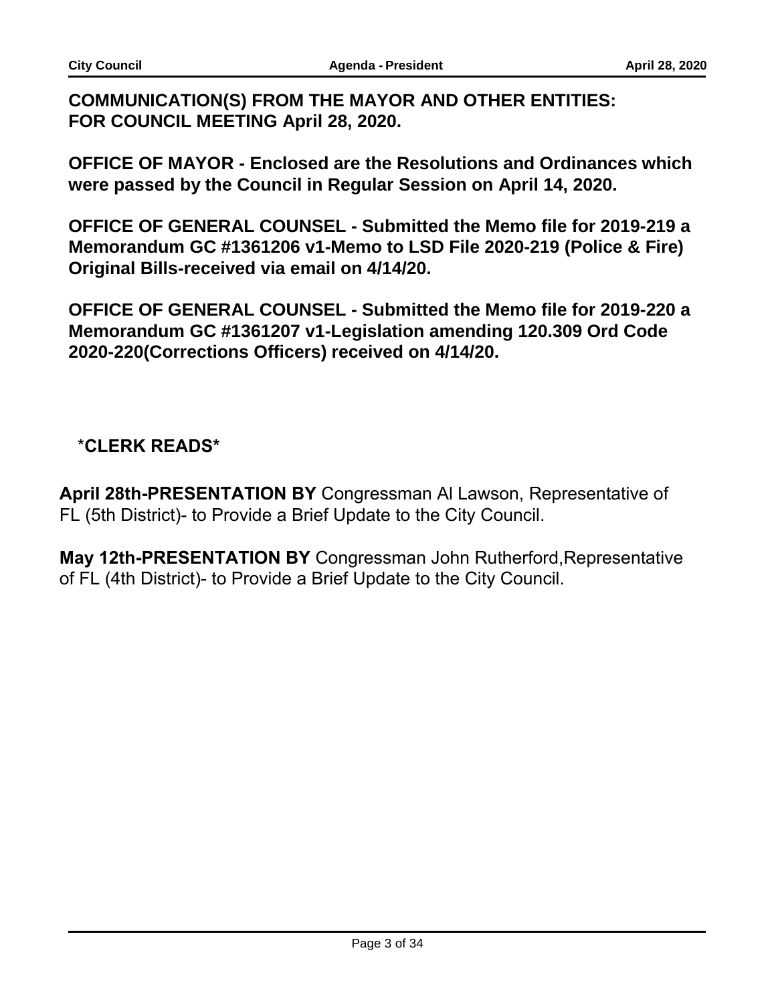### **COMMUNICATION(S) FROM THE MAYOR AND OTHER ENTITIES: FOR COUNCIL MEETING April 28, 2020.**

**OFFICE OF MAYOR - Enclosed are the Resolutions and Ordinances which were passed by the Council in Regular Session on April 14, 2020.** 

**OFFICE OF GENERAL COUNSEL - Submitted the Memo file for 2019-219 a Memorandum GC #1361206 v1-Memo to LSD File 2020-219 (Police & Fire) Original Bills-received via email on 4/14/20.** 

**OFFICE OF GENERAL COUNSEL - Submitted the Memo file for 2019-220 a Memorandum GC #1361207 v1-Legislation amending 120.309 Ord Code 2020-220(Corrections Officers) received on 4/14/20.** 

## \***CLERK READS\***

**April 28th-PRESENTATION BY** Congressman Al Lawson, Representative of FL (5th District)- to Provide a Brief Update to the City Council.

**May 12th-PRESENTATION BY** Congressman John Rutherford,Representative of FL (4th District)- to Provide a Brief Update to the City Council.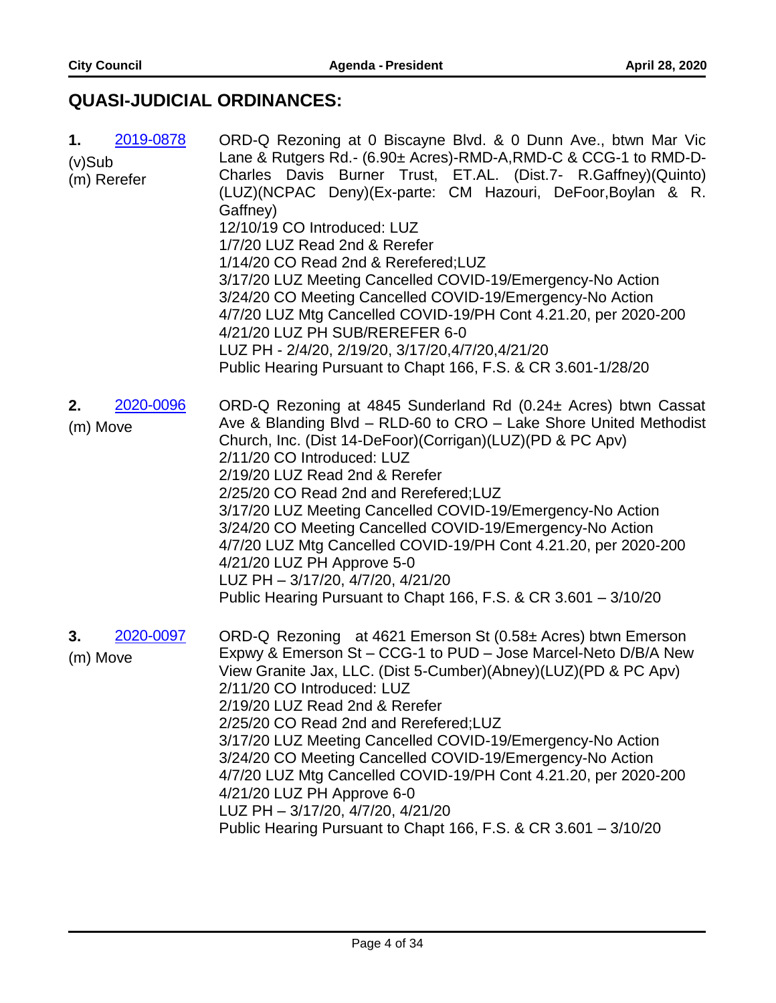## **QUASI-JUDICIAL ORDINANCES:**

| 2019-0878<br>1.<br>$(v)$ Sub<br>(m) Rerefer | ORD-Q Rezoning at 0 Biscayne Blvd. & 0 Dunn Ave., btwn Mar Vic<br>Lane & Rutgers Rd.- (6.90± Acres)-RMD-A, RMD-C & CCG-1 to RMD-D-<br>Charles Davis Burner Trust, ET.AL. (Dist.7- R.Gaffney)(Quinto)<br>(LUZ)(NCPAC Deny)(Ex-parte: CM Hazouri, DeFoor, Boylan & R.<br>Gaffney)<br>12/10/19 CO Introduced: LUZ<br>1/7/20 LUZ Read 2nd & Rerefer<br>1/14/20 CO Read 2nd & Rerefered; LUZ<br>3/17/20 LUZ Meeting Cancelled COVID-19/Emergency-No Action<br>3/24/20 CO Meeting Cancelled COVID-19/Emergency-No Action<br>4/7/20 LUZ Mtg Cancelled COVID-19/PH Cont 4.21.20, per 2020-200<br>4/21/20 LUZ PH SUB/REREFER 6-0<br>LUZ PH - 2/4/20, 2/19/20, 3/17/20,4/7/20,4/21/20<br>Public Hearing Pursuant to Chapt 166, F.S. & CR 3.601-1/28/20 |
|---------------------------------------------|----------------------------------------------------------------------------------------------------------------------------------------------------------------------------------------------------------------------------------------------------------------------------------------------------------------------------------------------------------------------------------------------------------------------------------------------------------------------------------------------------------------------------------------------------------------------------------------------------------------------------------------------------------------------------------------------------------------------------------------------|
| 2020-0096<br>2.<br>(m) Move                 | ORD-Q Rezoning at 4845 Sunderland Rd (0.24± Acres) btwn Cassat<br>Ave & Blanding Blvd - RLD-60 to CRO - Lake Shore United Methodist<br>Church, Inc. (Dist 14-DeFoor)(Corrigan)(LUZ)(PD & PC Apv)<br>2/11/20 CO Introduced: LUZ<br>2/19/20 LUZ Read 2nd & Rerefer<br>2/25/20 CO Read 2nd and Rerefered; LUZ<br>3/17/20 LUZ Meeting Cancelled COVID-19/Emergency-No Action<br>3/24/20 CO Meeting Cancelled COVID-19/Emergency-No Action<br>4/7/20 LUZ Mtg Cancelled COVID-19/PH Cont 4.21.20, per 2020-200<br>4/21/20 LUZ PH Approve 5-0<br>LUZ PH - 3/17/20, 4/7/20, 4/21/20<br>Public Hearing Pursuant to Chapt 166, F.S. & CR 3.601 - 3/10/20                                                                                               |
| 2020-0097<br>3.<br>(m) Move                 | ORD-Q Rezoning at 4621 Emerson St (0.58± Acres) btwn Emerson<br>Expwy & Emerson St - CCG-1 to PUD - Jose Marcel-Neto D/B/A New<br>View Granite Jax, LLC. (Dist 5-Cumber)(Abney)(LUZ)(PD & PC Apv)<br>2/11/20 CO Introduced: LUZ<br>2/19/20 LUZ Read 2nd & Rerefer<br>2/25/20 CO Read 2nd and Rerefered;LUZ<br>3/17/20 LUZ Meeting Cancelled COVID-19/Emergency-No Action<br>3/24/20 CO Meeting Cancelled COVID-19/Emergency-No Action<br>4/7/20 LUZ Mtg Cancelled COVID-19/PH Cont 4.21.20, per 2020-200<br>4/21/20 LUZ PH Approve 6-0<br>LUZ PH - 3/17/20, 4/7/20, 4/21/20<br>Public Hearing Pursuant to Chapt 166, F.S. & CR 3.601 - 3/10/20                                                                                               |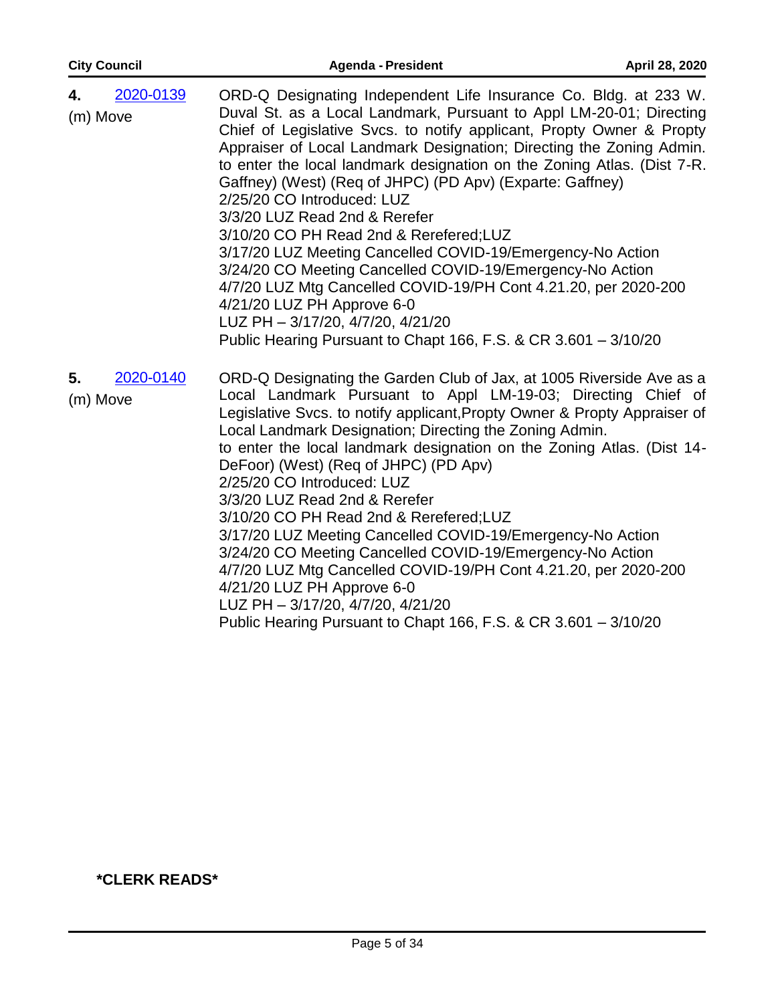| <b>City Council</b>         | <b>Agenda - President</b>                                                                                                                                                                                                                                                                                                                                                                                                                                                                                                                                                                                                                                                                                                                                                                                                                                                      | April 28, 2020 |
|-----------------------------|--------------------------------------------------------------------------------------------------------------------------------------------------------------------------------------------------------------------------------------------------------------------------------------------------------------------------------------------------------------------------------------------------------------------------------------------------------------------------------------------------------------------------------------------------------------------------------------------------------------------------------------------------------------------------------------------------------------------------------------------------------------------------------------------------------------------------------------------------------------------------------|----------------|
| 2020-0139<br>4.<br>(m) Move | ORD-Q Designating Independent Life Insurance Co. Bldg. at 233 W.<br>Duval St. as a Local Landmark, Pursuant to Appl LM-20-01; Directing<br>Chief of Legislative Svcs. to notify applicant, Propty Owner & Propty<br>Appraiser of Local Landmark Designation; Directing the Zoning Admin.<br>to enter the local landmark designation on the Zoning Atlas. (Dist 7-R.<br>Gaffney) (West) (Req of JHPC) (PD Apv) (Exparte: Gaffney)<br>2/25/20 CO Introduced: LUZ<br>3/3/20 LUZ Read 2nd & Rerefer<br>3/10/20 CO PH Read 2nd & Rerefered; LUZ<br>3/17/20 LUZ Meeting Cancelled COVID-19/Emergency-No Action<br>3/24/20 CO Meeting Cancelled COVID-19/Emergency-No Action<br>4/7/20 LUZ Mtg Cancelled COVID-19/PH Cont 4.21.20, per 2020-200<br>4/21/20 LUZ PH Approve 6-0<br>LUZ PH - 3/17/20, 4/7/20, 4/21/20<br>Public Hearing Pursuant to Chapt 166, F.S. & CR 3.601 - 3/10/20 |                |
| 2020-0140<br>5.<br>(m) Move | ORD-Q Designating the Garden Club of Jax, at 1005 Riverside Ave as a<br>Local Landmark Pursuant to Appl LM-19-03; Directing Chief of<br>Legislative Svcs. to notify applicant, Propty Owner & Propty Appraiser of<br>Local Landmark Designation; Directing the Zoning Admin.<br>to enter the local landmark designation on the Zoning Atlas. (Dist 14-<br>DeFoor) (West) (Req of JHPC) (PD Apv)<br>2/25/20 CO Introduced: LUZ<br>3/3/20 LUZ Read 2nd & Rerefer<br>3/10/20 CO PH Read 2nd & Rerefered; LUZ<br>3/17/20 LUZ Meeting Cancelled COVID-19/Emergency-No Action<br>3/24/20 CO Meeting Cancelled COVID-19/Emergency-No Action<br>4/7/20 LUZ Mtg Cancelled COVID-19/PH Cont 4.21.20, per 2020-200<br>4/21/20 LUZ PH Approve 6-0<br>LUZ PH - 3/17/20, 4/7/20, 4/21/20<br>Public Hearing Pursuant to Chapt 166, F.S. & CR 3.601 - 3/10/20                                  |                |

#### **\*CLERK READS\***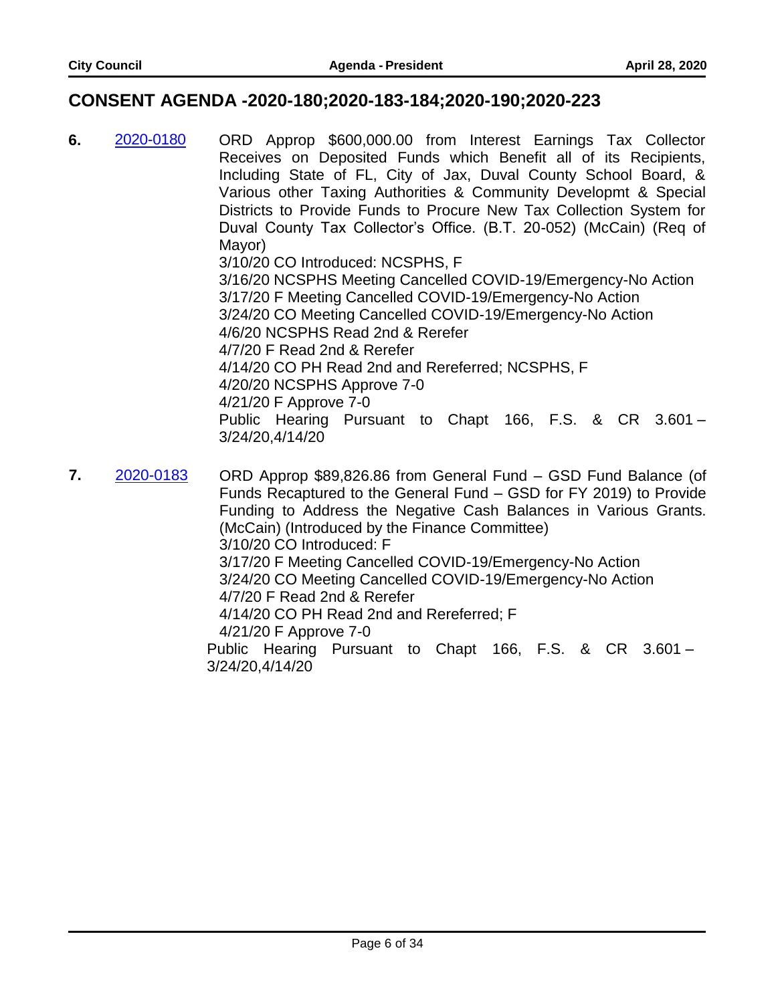#### **CONSENT AGENDA -2020-180;2020-183-184;2020-190;2020-223**

- **6.** 2020-0180 ORD Approp \$600,000.00 from Interest Earnings Tax Collector Receives on Deposited Funds which Benefit all of its Recipients, Including State of FL, City of Jax, Duval County School Board, & Various other Taxing Authorities & Community Developmt & Special Districts to Provide Funds to Procure New Tax Collection System for Duval County Tax Collector's Office. (B.T. 20-052) (McCain) (Req of Mayor) 3/10/20 CO Introduced: NCSPHS, F 3/16/20 NCSPHS Meeting Cancelled COVID-19/Emergency-No Action 3/17/20 F Meeting Cancelled COVID-19/Emergency-No Action 3/24/20 CO Meeting Cancelled COVID-19/Emergency-No Action 4/6/20 NCSPHS Read 2nd & Rerefer 4/7/20 F Read 2nd & Rerefer 4/14/20 CO PH Read 2nd and Rereferred; NCSPHS, F 4/20/20 NCSPHS Approve 7-0 4/21/20 F Approve 7-0 Public Hearing Pursuant to Chapt 166, F.S. & CR 3.601 – 3/24/20,4/14/20
- **7.** 2020-0183 ORD Approp \$89,826.86 from General Fund GSD Fund Balance (of Funds Recaptured to the General Fund – GSD for FY 2019) to Provide Funding to Address the Negative Cash Balances in Various Grants. (McCain) (Introduced by the Finance Committee) 3/10/20 CO Introduced: F 3/17/20 F Meeting Cancelled COVID-19/Emergency-No Action 3/24/20 CO Meeting Cancelled COVID-19/Emergency-No Action 4/7/20 F Read 2nd & Rerefer 4/14/20 CO PH Read 2nd and Rereferred; F 4/21/20 F Approve 7-0 Public Hearing Pursuant to Chapt 166, F.S. & CR 3.601 – 3/24/20,4/14/20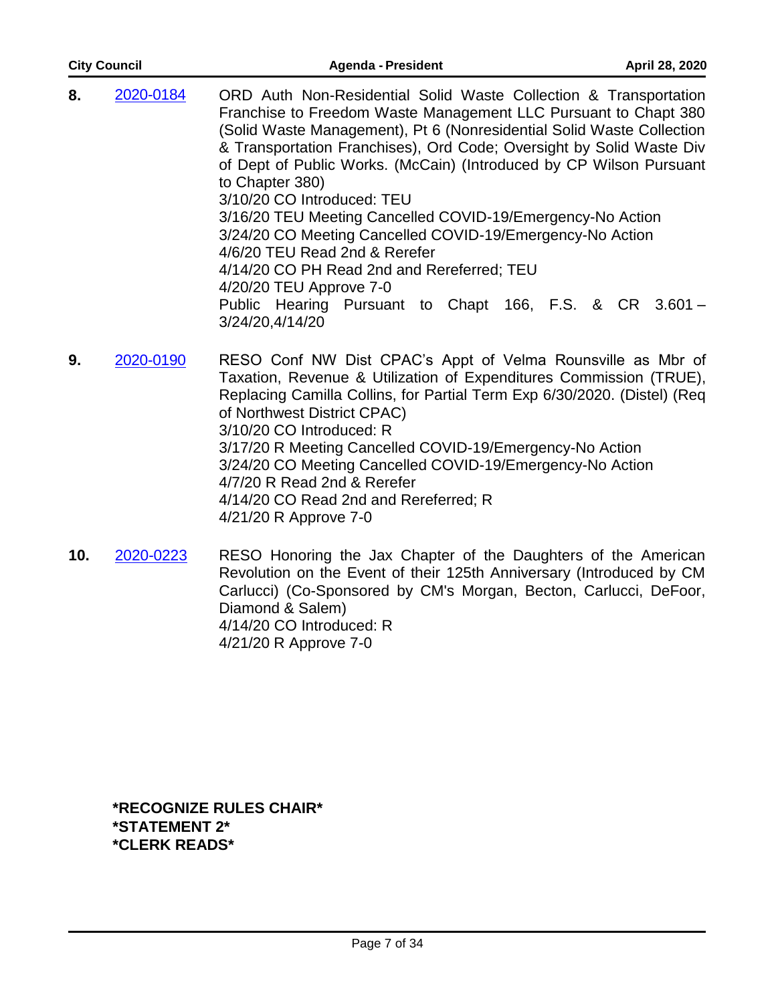| <b>City Council</b> | <b>Agenda - President</b>                                                                                                                                                                                                                                                                                                                                                                                                                                                                                                                                                                                                                                                                                                       | April 28, 2020 |
|---------------------|---------------------------------------------------------------------------------------------------------------------------------------------------------------------------------------------------------------------------------------------------------------------------------------------------------------------------------------------------------------------------------------------------------------------------------------------------------------------------------------------------------------------------------------------------------------------------------------------------------------------------------------------------------------------------------------------------------------------------------|----------------|
| 8.<br>2020-0184     | ORD Auth Non-Residential Solid Waste Collection & Transportation<br>Franchise to Freedom Waste Management LLC Pursuant to Chapt 380<br>(Solid Waste Management), Pt 6 (Nonresidential Solid Waste Collection<br>& Transportation Franchises), Ord Code; Oversight by Solid Waste Div<br>of Dept of Public Works. (McCain) (Introduced by CP Wilson Pursuant<br>to Chapter 380)<br>3/10/20 CO Introduced: TEU<br>3/16/20 TEU Meeting Cancelled COVID-19/Emergency-No Action<br>3/24/20 CO Meeting Cancelled COVID-19/Emergency-No Action<br>4/6/20 TEU Read 2nd & Rerefer<br>4/14/20 CO PH Read 2nd and Rereferred; TEU<br>4/20/20 TEU Approve 7-0<br>Public Hearing Pursuant to Chapt 166, F.S. & CR 3.601 -<br>3/24/20,4/14/20 |                |

- **9.** 2020-0190 RESO Conf NW Dist CPAC's Appt of Velma Rounsville as Mbr of Taxation, Revenue & Utilization of Expenditures Commission (TRUE), Replacing Camilla Collins, for Partial Term Exp 6/30/2020. (Distel) (Req of Northwest District CPAC) 3/10/20 CO Introduced: R 3/17/20 R Meeting Cancelled COVID-19/Emergency-No Action 3/24/20 CO Meeting Cancelled COVID-19/Emergency-No Action 4/7/20 R Read 2nd & Rerefer 4/14/20 CO Read 2nd and Rereferred; R 4/21/20 R Approve 7-0
- **10.** 2020-0223 RESO Honoring the Jax Chapter of the Daughters of the American Revolution on the Event of their 125th Anniversary (Introduced by CM Carlucci) (Co-Sponsored by CM's Morgan, Becton, Carlucci, DeFoor, Diamond & Salem) 4/14/20 CO Introduced: R 4/21/20 R Approve 7-0

**\*RECOGNIZE RULES CHAIR\* \*STATEMENT 2\* \*CLERK READS\***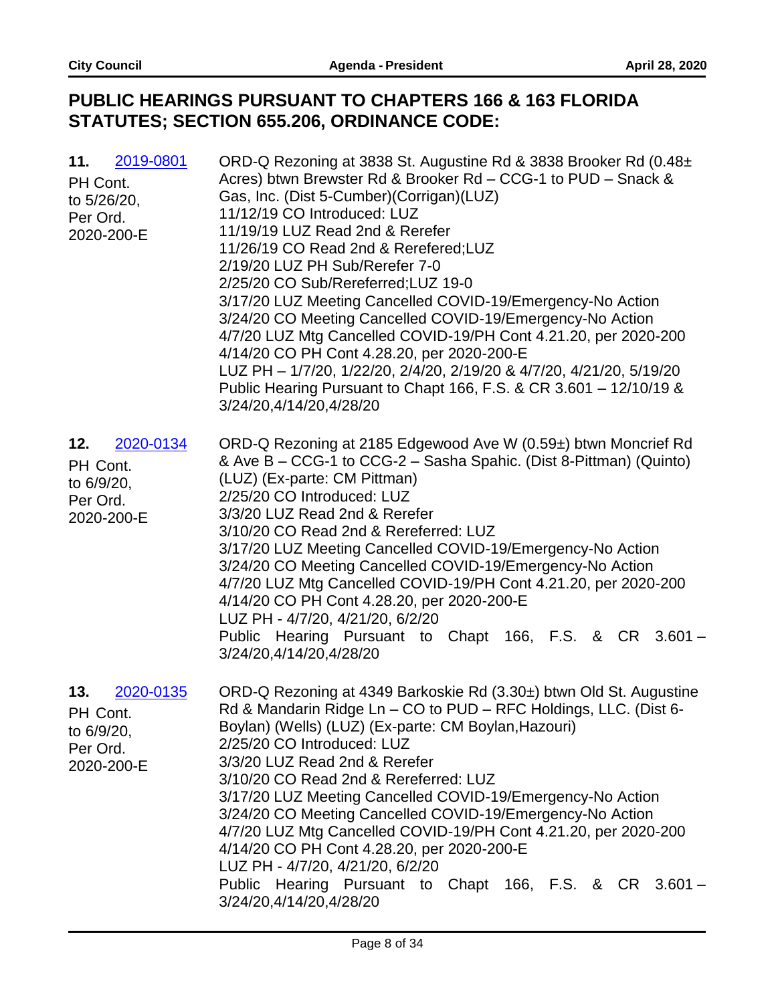## **PUBLIC HEARINGS PURSUANT TO CHAPTERS 166 & 163 FLORIDA STATUTES; SECTION 655.206, ORDINANCE CODE:**

| 2019-0801<br>11.<br>PH Cont.<br>to 5/26/20,<br>Per Ord.<br>2020-200-E | ORD-Q Rezoning at 3838 St. Augustine Rd & 3838 Brooker Rd (0.48±<br>Acres) btwn Brewster Rd & Brooker Rd - CCG-1 to PUD - Snack &<br>Gas, Inc. (Dist 5-Cumber)(Corrigan)(LUZ)<br>11/12/19 CO Introduced: LUZ<br>11/19/19 LUZ Read 2nd & Rerefer<br>11/26/19 CO Read 2nd & Rerefered; LUZ<br>2/19/20 LUZ PH Sub/Rerefer 7-0<br>2/25/20 CO Sub/Rereferred; LUZ 19-0<br>3/17/20 LUZ Meeting Cancelled COVID-19/Emergency-No Action<br>3/24/20 CO Meeting Cancelled COVID-19/Emergency-No Action<br>4/7/20 LUZ Mtg Cancelled COVID-19/PH Cont 4.21.20, per 2020-200<br>4/14/20 CO PH Cont 4.28.20, per 2020-200-E<br>LUZ PH - 1/7/20, 1/22/20, 2/4/20, 2/19/20 & 4/7/20, 4/21/20, 5/19/20<br>Public Hearing Pursuant to Chapt 166, F.S. & CR 3.601 - 12/10/19 &<br>3/24/20,4/14/20,4/28/20 |
|-----------------------------------------------------------------------|----------------------------------------------------------------------------------------------------------------------------------------------------------------------------------------------------------------------------------------------------------------------------------------------------------------------------------------------------------------------------------------------------------------------------------------------------------------------------------------------------------------------------------------------------------------------------------------------------------------------------------------------------------------------------------------------------------------------------------------------------------------------------------------|
| 2020-0134<br>12.<br>PH Cont.<br>to 6/9/20,<br>Per Ord.<br>2020-200-E  | ORD-Q Rezoning at 2185 Edgewood Ave W (0.59±) btwn Moncrief Rd<br>& Ave B – CCG-1 to CCG-2 – Sasha Spahic. (Dist 8-Pittman) (Quinto)<br>(LUZ) (Ex-parte: CM Pittman)<br>2/25/20 CO Introduced: LUZ<br>3/3/20 LUZ Read 2nd & Rerefer<br>3/10/20 CO Read 2nd & Rereferred: LUZ<br>3/17/20 LUZ Meeting Cancelled COVID-19/Emergency-No Action<br>3/24/20 CO Meeting Cancelled COVID-19/Emergency-No Action<br>4/7/20 LUZ Mtg Cancelled COVID-19/PH Cont 4.21.20, per 2020-200<br>4/14/20 CO PH Cont 4.28.20, per 2020-200-E<br>LUZ PH - 4/7/20, 4/21/20, 6/2/20<br>Public Hearing Pursuant to Chapt 166, F.S. & CR 3.601 -<br>3/24/20,4/14/20,4/28/20                                                                                                                                     |
| 13.<br>2020-0135<br>PH Cont.<br>to 6/9/20,<br>Per Ord.<br>2020-200-E  | ORD-Q Rezoning at 4349 Barkoskie Rd (3.30±) btwn Old St. Augustine<br>Rd & Mandarin Ridge Ln - CO to PUD - RFC Holdings, LLC. (Dist 6-<br>Boylan) (Wells) (LUZ) (Ex-parte: CM Boylan, Hazouri)<br>2/25/20 CO Introduced: LUZ<br>3/3/20 LUZ Read 2nd & Rerefer<br>3/10/20 CO Read 2nd & Rereferred: LUZ<br>3/17/20 LUZ Meeting Cancelled COVID-19/Emergency-No Action<br>3/24/20 CO Meeting Cancelled COVID-19/Emergency-No Action<br>4/7/20 LUZ Mtg Cancelled COVID-19/PH Cont 4.21.20, per 2020-200<br>4/14/20 CO PH Cont 4.28.20, per 2020-200-E<br>LUZ PH - 4/7/20, 4/21/20, 6/2/20<br>Public Hearing Pursuant to Chapt 166, F.S. & CR 3.601 -<br>3/24/20,4/14/20,4/28/20                                                                                                           |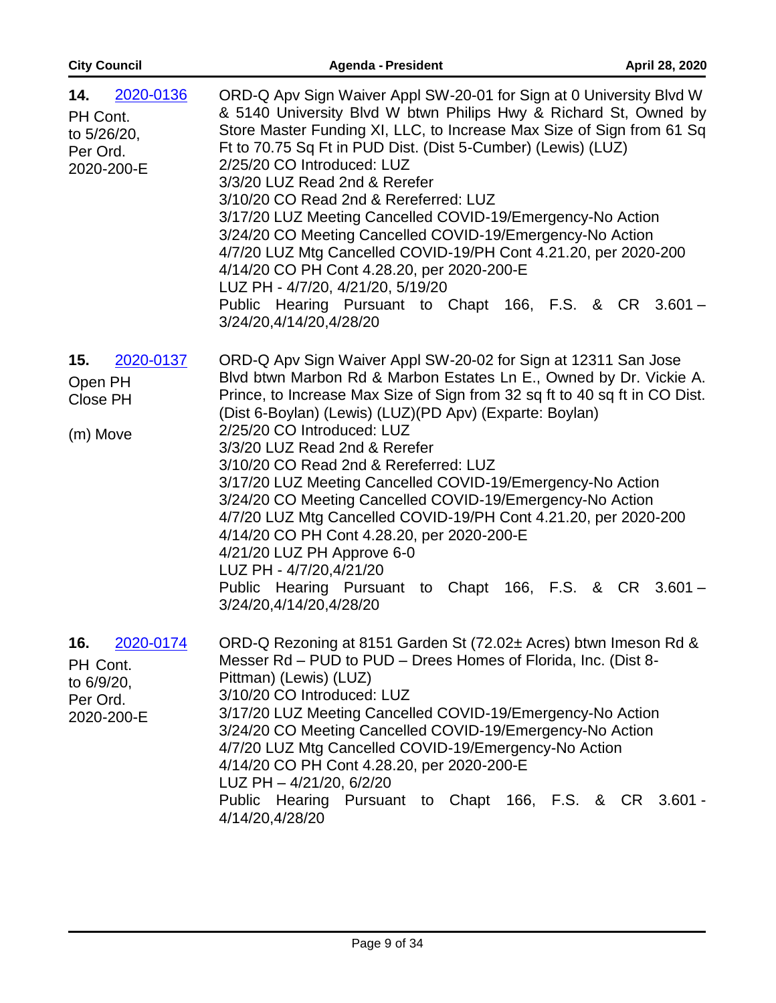| <b>City Council</b>                                                   | <b>Agenda - President</b>                                                                                                                                                                                                                                                                                                                                                                                                                                                                                                                                                                                                                                                                                                                                                         | April 28, 2020 |
|-----------------------------------------------------------------------|-----------------------------------------------------------------------------------------------------------------------------------------------------------------------------------------------------------------------------------------------------------------------------------------------------------------------------------------------------------------------------------------------------------------------------------------------------------------------------------------------------------------------------------------------------------------------------------------------------------------------------------------------------------------------------------------------------------------------------------------------------------------------------------|----------------|
| 2020-0136<br>14.<br>PH Cont.<br>to 5/26/20,<br>Per Ord.<br>2020-200-E | ORD-Q Apv Sign Waiver Appl SW-20-01 for Sign at 0 University Blvd W<br>& 5140 University Blvd W btwn Philips Hwy & Richard St, Owned by<br>Store Master Funding XI, LLC, to Increase Max Size of Sign from 61 Sq<br>Ft to 70.75 Sq Ft in PUD Dist. (Dist 5-Cumber) (Lewis) (LUZ)<br>2/25/20 CO Introduced: LUZ<br>3/3/20 LUZ Read 2nd & Rerefer<br>3/10/20 CO Read 2nd & Rereferred: LUZ<br>3/17/20 LUZ Meeting Cancelled COVID-19/Emergency-No Action<br>3/24/20 CO Meeting Cancelled COVID-19/Emergency-No Action<br>4/7/20 LUZ Mtg Cancelled COVID-19/PH Cont 4.21.20, per 2020-200<br>4/14/20 CO PH Cont 4.28.20, per 2020-200-E<br>LUZ PH - 4/7/20, 4/21/20, 5/19/20<br>Public Hearing Pursuant to Chapt 166, F.S. & CR 3.601 -<br>3/24/20,4/14/20,4/28/20                   |                |
| 15.<br>2020-0137<br>Open PH<br>Close PH<br>(m) Move                   | ORD-Q Apv Sign Waiver Appl SW-20-02 for Sign at 12311 San Jose<br>Blvd btwn Marbon Rd & Marbon Estates Ln E., Owned by Dr. Vickie A.<br>Prince, to Increase Max Size of Sign from 32 sq ft to 40 sq ft in CO Dist.<br>(Dist 6-Boylan) (Lewis) (LUZ) (PD Apv) (Exparte: Boylan)<br>2/25/20 CO Introduced: LUZ<br>3/3/20 LUZ Read 2nd & Rerefer<br>3/10/20 CO Read 2nd & Rereferred: LUZ<br>3/17/20 LUZ Meeting Cancelled COVID-19/Emergency-No Action<br>3/24/20 CO Meeting Cancelled COVID-19/Emergency-No Action<br>4/7/20 LUZ Mtg Cancelled COVID-19/PH Cont 4.21.20, per 2020-200<br>4/14/20 CO PH Cont 4.28.20, per 2020-200-E<br>4/21/20 LUZ PH Approve 6-0<br>LUZ PH - 4/7/20,4/21/20<br>Public Hearing Pursuant to Chapt 166, F.S. & CR 3.601 -<br>3/24/20,4/14/20,4/28/20 |                |
| 16.<br>2020-0174<br>PH Cont.<br>to 6/9/20,<br>Per Ord.<br>2020-200-E  | ORD-Q Rezoning at 8151 Garden St (72.02± Acres) btwn Imeson Rd &<br>Messer Rd - PUD to PUD - Drees Homes of Florida, Inc. (Dist 8-<br>Pittman) (Lewis) (LUZ)<br>3/10/20 CO Introduced: LUZ<br>3/17/20 LUZ Meeting Cancelled COVID-19/Emergency-No Action<br>3/24/20 CO Meeting Cancelled COVID-19/Emergency-No Action<br>4/7/20 LUZ Mtg Cancelled COVID-19/Emergency-No Action<br>4/14/20 CO PH Cont 4.28.20, per 2020-200-E<br>LUZ PH - 4/21/20, 6/2/20<br>Public Hearing<br>Pursuant to Chapt 166, F.S. & CR 3.601 -<br>4/14/20,4/28/20                                                                                                                                                                                                                                         |                |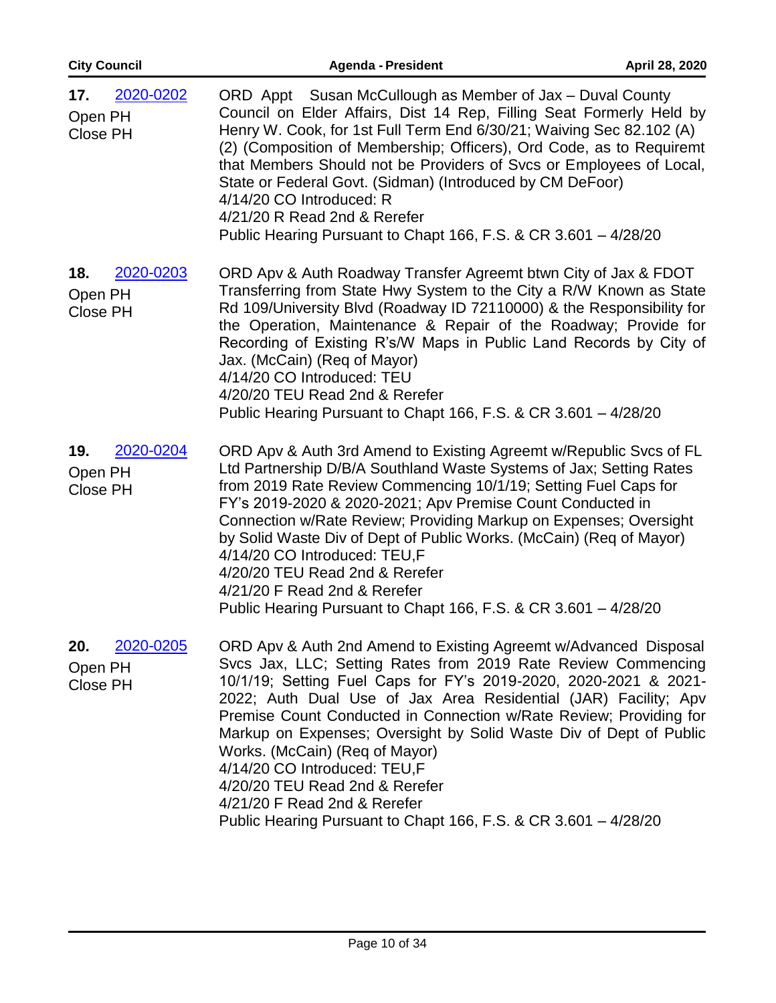| <b>City Council</b>                            | <b>Agenda - President</b>                                                                                                                                                                                                                                                                                                                                                                                                                                                                                                                                                                                                   | April 28, 2020 |
|------------------------------------------------|-----------------------------------------------------------------------------------------------------------------------------------------------------------------------------------------------------------------------------------------------------------------------------------------------------------------------------------------------------------------------------------------------------------------------------------------------------------------------------------------------------------------------------------------------------------------------------------------------------------------------------|----------------|
| 2020-0202<br>17.<br>Open PH<br><b>Close PH</b> | ORD Appt Susan McCullough as Member of Jax - Duval County<br>Council on Elder Affairs, Dist 14 Rep, Filling Seat Formerly Held by<br>Henry W. Cook, for 1st Full Term End 6/30/21; Waiving Sec 82.102 (A)<br>(2) (Composition of Membership; Officers), Ord Code, as to Requiremt<br>that Members Should not be Providers of Svcs or Employees of Local,<br>State or Federal Govt. (Sidman) (Introduced by CM DeFoor)<br>4/14/20 CO Introduced: R<br>4/21/20 R Read 2nd & Rerefer<br>Public Hearing Pursuant to Chapt 166, F.S. & CR 3.601 - 4/28/20                                                                        |                |
| 2020-0203<br>18.<br>Open PH<br><b>Close PH</b> | ORD Apv & Auth Roadway Transfer Agreemt btwn City of Jax & FDOT<br>Transferring from State Hwy System to the City a R/W Known as State<br>Rd 109/University Blvd (Roadway ID 72110000) & the Responsibility for<br>the Operation, Maintenance & Repair of the Roadway; Provide for<br>Recording of Existing R's/W Maps in Public Land Records by City of<br>Jax. (McCain) (Req of Mayor)<br>4/14/20 CO Introduced: TEU<br>4/20/20 TEU Read 2nd & Rerefer<br>Public Hearing Pursuant to Chapt 166, F.S. & CR 3.601 - 4/28/20                                                                                                 |                |
| 2020-0204<br>19.<br>Open PH<br><b>Close PH</b> | ORD Apv & Auth 3rd Amend to Existing Agreemt w/Republic Svcs of FL<br>Ltd Partnership D/B/A Southland Waste Systems of Jax; Setting Rates<br>from 2019 Rate Review Commencing 10/1/19; Setting Fuel Caps for<br>FY's 2019-2020 & 2020-2021; Apv Premise Count Conducted in<br>Connection w/Rate Review; Providing Markup on Expenses; Oversight<br>by Solid Waste Div of Dept of Public Works. (McCain) (Req of Mayor)<br>4/14/20 CO Introduced: TEU,F<br>4/20/20 TEU Read 2nd & Rerefer<br>4/21/20 F Read 2nd & Rerefer<br>Public Hearing Pursuant to Chapt 166, F.S. & CR 3.601 - 4/28/20                                 |                |
| 20.<br>2020-0205<br>Open PH<br><b>Close PH</b> | ORD Apv & Auth 2nd Amend to Existing Agreemt w/Advanced Disposal<br>Svcs Jax, LLC; Setting Rates from 2019 Rate Review Commencing<br>10/1/19; Setting Fuel Caps for FY's 2019-2020, 2020-2021 & 2021-<br>2022; Auth Dual Use of Jax Area Residential (JAR) Facility; Apv<br>Premise Count Conducted in Connection w/Rate Review; Providing for<br>Markup on Expenses; Oversight by Solid Waste Div of Dept of Public<br>Works. (McCain) (Req of Mayor)<br>4/14/20 CO Introduced: TEU,F<br>4/20/20 TEU Read 2nd & Rerefer<br>4/21/20 F Read 2nd & Rerefer<br>Public Hearing Pursuant to Chapt 166, F.S. & CR 3.601 - 4/28/20 |                |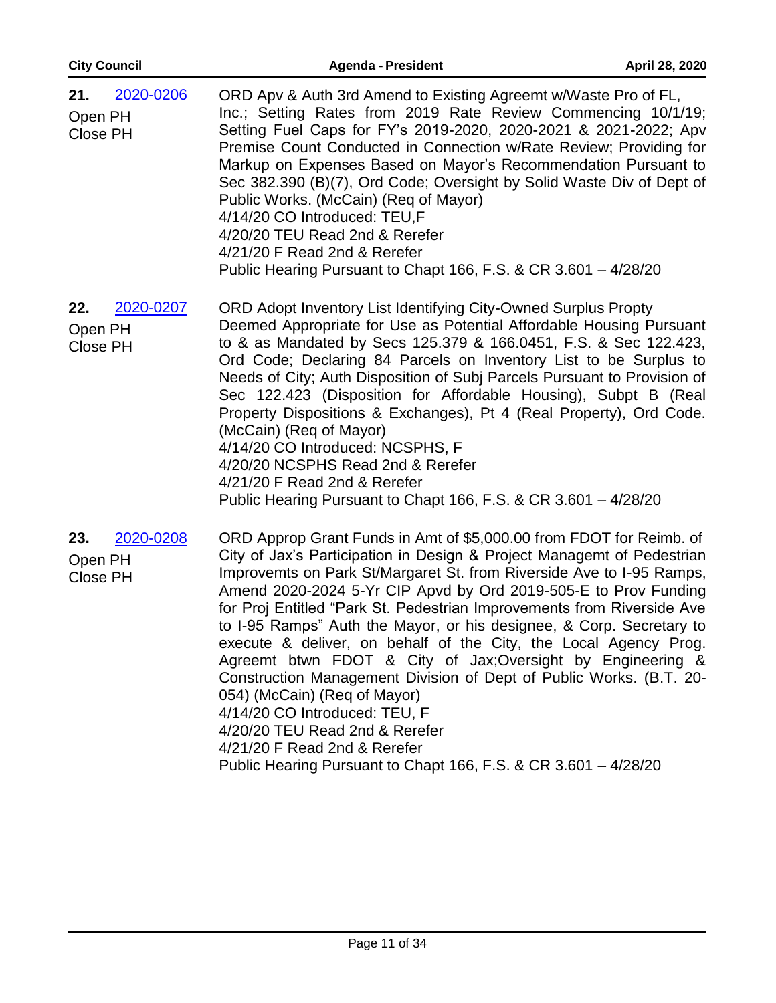| <b>City Council</b>                            | <b>Agenda - President</b>                                                                                                                                                                                                                                                                                                                                                                                                                                                                                                                                                                                                                                                                                                                                                                                                                                  | April 28, 2020 |
|------------------------------------------------|------------------------------------------------------------------------------------------------------------------------------------------------------------------------------------------------------------------------------------------------------------------------------------------------------------------------------------------------------------------------------------------------------------------------------------------------------------------------------------------------------------------------------------------------------------------------------------------------------------------------------------------------------------------------------------------------------------------------------------------------------------------------------------------------------------------------------------------------------------|----------------|
| 2020-0206<br>21.<br>Open PH<br><b>Close PH</b> | ORD Apv & Auth 3rd Amend to Existing Agreemt w/Waste Pro of FL,<br>Inc.; Setting Rates from 2019 Rate Review Commencing 10/1/19;<br>Setting Fuel Caps for FY's 2019-2020, 2020-2021 & 2021-2022; Apv<br>Premise Count Conducted in Connection w/Rate Review; Providing for<br>Markup on Expenses Based on Mayor's Recommendation Pursuant to<br>Sec 382.390 (B)(7), Ord Code; Oversight by Solid Waste Div of Dept of<br>Public Works. (McCain) (Req of Mayor)<br>4/14/20 CO Introduced: TEU,F<br>4/20/20 TEU Read 2nd & Rerefer<br>4/21/20 F Read 2nd & Rerefer<br>Public Hearing Pursuant to Chapt 166, F.S. & CR 3.601 - 4/28/20                                                                                                                                                                                                                        |                |
| 2020-0207<br>22.<br>Open PH<br><b>Close PH</b> | ORD Adopt Inventory List Identifying City-Owned Surplus Propty<br>Deemed Appropriate for Use as Potential Affordable Housing Pursuant<br>to & as Mandated by Secs 125.379 & 166.0451, F.S. & Sec 122.423,<br>Ord Code; Declaring 84 Parcels on Inventory List to be Surplus to<br>Needs of City; Auth Disposition of Subj Parcels Pursuant to Provision of<br>Sec 122.423 (Disposition for Affordable Housing), Subpt B (Real<br>Property Dispositions & Exchanges), Pt 4 (Real Property), Ord Code.<br>(McCain) (Req of Mayor)<br>4/14/20 CO Introduced: NCSPHS, F<br>4/20/20 NCSPHS Read 2nd & Rerefer<br>4/21/20 F Read 2nd & Rerefer<br>Public Hearing Pursuant to Chapt 166, F.S. & CR 3.601 - 4/28/20                                                                                                                                                |                |
| 23.<br>2020-0208<br>Open PH<br><b>Close PH</b> | ORD Approp Grant Funds in Amt of \$5,000.00 from FDOT for Reimb. of<br>City of Jax's Participation in Design & Project Managemt of Pedestrian<br>Improvemts on Park St/Margaret St. from Riverside Ave to I-95 Ramps,<br>Amend 2020-2024 5-Yr CIP Apvd by Ord 2019-505-E to Prov Funding<br>for Proj Entitled "Park St. Pedestrian Improvements from Riverside Ave<br>to I-95 Ramps" Auth the Mayor, or his designee, & Corp. Secretary to<br>execute & deliver, on behalf of the City, the Local Agency Prog.<br>Agreemt btwn FDOT & City of Jax; Oversight by Engineering &<br>Construction Management Division of Dept of Public Works. (B.T. 20-<br>054) (McCain) (Req of Mayor)<br>4/14/20 CO Introduced: TEU, F<br>4/20/20 TEU Read 2nd & Rerefer<br>4/21/20 F Read 2nd & Rerefer<br>Public Hearing Pursuant to Chapt 166, F.S. & CR 3.601 - 4/28/20 |                |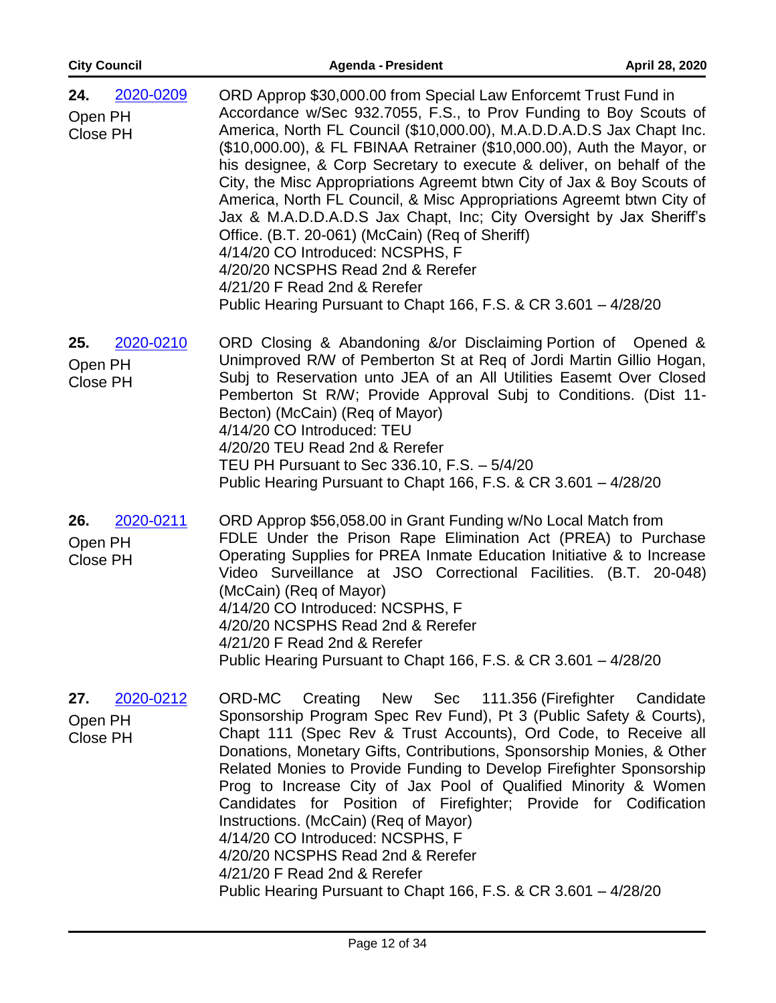| <b>City Council</b>                            | <b>Agenda - President</b>                                                                                                                                                                                                                                                                                                                                                                                                                                                                                                                                                                                                                                                                                                                                                                                                 | April 28, 2020 |
|------------------------------------------------|---------------------------------------------------------------------------------------------------------------------------------------------------------------------------------------------------------------------------------------------------------------------------------------------------------------------------------------------------------------------------------------------------------------------------------------------------------------------------------------------------------------------------------------------------------------------------------------------------------------------------------------------------------------------------------------------------------------------------------------------------------------------------------------------------------------------------|----------------|
| 2020-0209<br>24.<br>Open PH<br><b>Close PH</b> | ORD Approp \$30,000.00 from Special Law Enforcemt Trust Fund in<br>Accordance w/Sec 932.7055, F.S., to Prov Funding to Boy Scouts of<br>America, North FL Council (\$10,000.00), M.A.D.D.A.D.S Jax Chapt Inc.<br>(\$10,000.00), & FL FBINAA Retrainer (\$10,000.00), Auth the Mayor, or<br>his designee, & Corp Secretary to execute & deliver, on behalf of the<br>City, the Misc Appropriations Agreemt btwn City of Jax & Boy Scouts of<br>America, North FL Council, & Misc Appropriations Agreemt btwn City of<br>Jax & M.A.D.D.A.D.S Jax Chapt, Inc; City Oversight by Jax Sheriff's<br>Office. (B.T. 20-061) (McCain) (Req of Sheriff)<br>4/14/20 CO Introduced: NCSPHS, F<br>4/20/20 NCSPHS Read 2nd & Rerefer<br>4/21/20 F Read 2nd & Rerefer<br>Public Hearing Pursuant to Chapt 166, F.S. & CR 3.601 - 4/28/20 |                |
| 2020-0210<br>25.<br>Open PH<br><b>Close PH</b> | ORD Closing & Abandoning &/or Disclaiming Portion of Opened &<br>Unimproved R/W of Pemberton St at Req of Jordi Martin Gillio Hogan,<br>Subj to Reservation unto JEA of an All Utilities Easemt Over Closed<br>Pemberton St R/W; Provide Approval Subj to Conditions. (Dist 11-<br>Becton) (McCain) (Req of Mayor)<br>4/14/20 CO Introduced: TEU<br>4/20/20 TEU Read 2nd & Rerefer<br>TEU PH Pursuant to Sec 336.10, F.S. - 5/4/20<br>Public Hearing Pursuant to Chapt 166, F.S. & CR 3.601 - 4/28/20                                                                                                                                                                                                                                                                                                                     |                |
| 2020-0211<br>26.<br>Open PH<br><b>Close PH</b> | ORD Approp \$56,058.00 in Grant Funding w/No Local Match from<br>FDLE Under the Prison Rape Elimination Act (PREA) to Purchase<br>Operating Supplies for PREA Inmate Education Initiative & to Increase<br>Video Surveillance at JSO Correctional Facilities. (B.T. 20-048)<br>(McCain) (Req of Mayor)<br>4/14/20 CO Introduced: NCSPHS, F<br>4/20/20 NCSPHS Read 2nd & Rerefer<br>4/21/20 F Read 2nd & Rerefer<br>Public Hearing Pursuant to Chapt 166, F.S. & CR 3.601 - 4/28/20                                                                                                                                                                                                                                                                                                                                        |                |
| 2020-0212<br>27.<br>Open PH<br>Close PH        | ORD-MC Creating New Sec 111.356 (Firefighter Candidate<br>Sponsorship Program Spec Rev Fund), Pt 3 (Public Safety & Courts),<br>Chapt 111 (Spec Rev & Trust Accounts), Ord Code, to Receive all<br>Donations, Monetary Gifts, Contributions, Sponsorship Monies, & Other<br>Related Monies to Provide Funding to Develop Firefighter Sponsorship<br>Prog to Increase City of Jax Pool of Qualified Minority & Women<br>Candidates for Position of Firefighter; Provide for Codification<br>Instructions. (McCain) (Req of Mayor)<br>4/14/20 CO Introduced: NCSPHS, F<br>4/20/20 NCSPHS Read 2nd & Rerefer<br>4/21/20 F Read 2nd & Rerefer<br>Public Hearing Pursuant to Chapt 166, F.S. & CR 3.601 - 4/28/20                                                                                                              |                |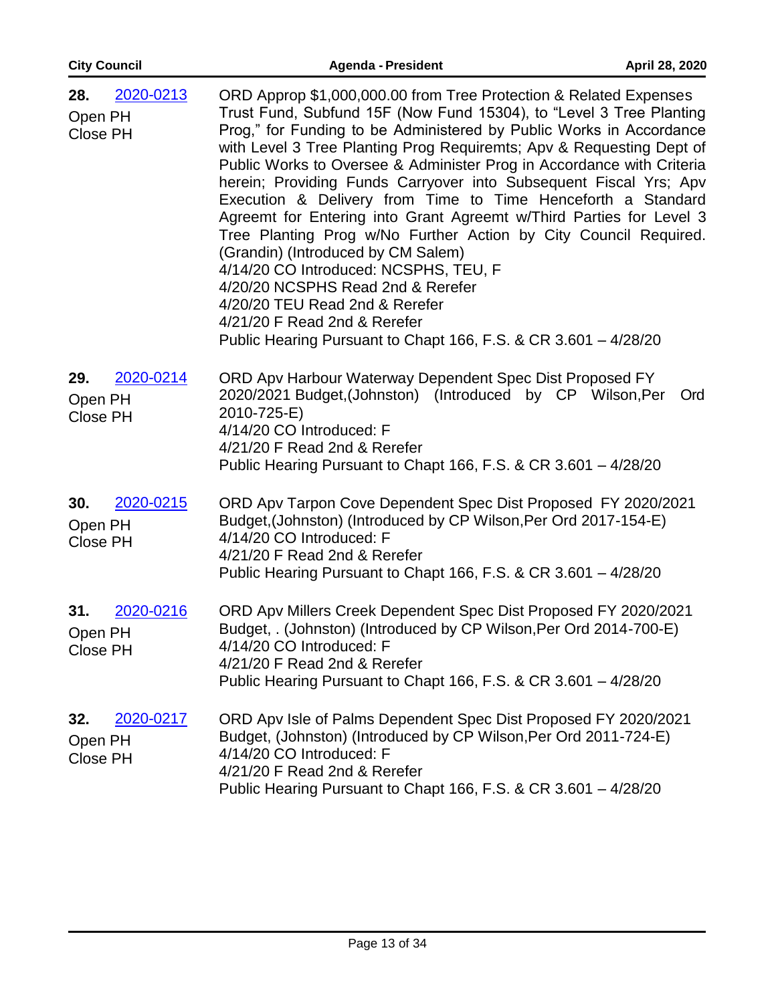| <b>City Council</b>                            | <b>Agenda - President</b>                                                                                                                                                                                                                                                                                                                                                                                                                                                                                                                                                                                                                                                                                                                                                                                                                                                                                 | April 28, 2020 |
|------------------------------------------------|-----------------------------------------------------------------------------------------------------------------------------------------------------------------------------------------------------------------------------------------------------------------------------------------------------------------------------------------------------------------------------------------------------------------------------------------------------------------------------------------------------------------------------------------------------------------------------------------------------------------------------------------------------------------------------------------------------------------------------------------------------------------------------------------------------------------------------------------------------------------------------------------------------------|----------------|
| 2020-0213<br>28.<br>Open PH<br><b>Close PH</b> | ORD Approp \$1,000,000.00 from Tree Protection & Related Expenses<br>Trust Fund, Subfund 15F (Now Fund 15304), to "Level 3 Tree Planting<br>Prog," for Funding to be Administered by Public Works in Accordance<br>with Level 3 Tree Planting Prog Requiremts; Apv & Requesting Dept of<br>Public Works to Oversee & Administer Prog in Accordance with Criteria<br>herein; Providing Funds Carryover into Subsequent Fiscal Yrs; Apv<br>Execution & Delivery from Time to Time Henceforth a Standard<br>Agreemt for Entering into Grant Agreemt w/Third Parties for Level 3<br>Tree Planting Prog w/No Further Action by City Council Required.<br>(Grandin) (Introduced by CM Salem)<br>4/14/20 CO Introduced: NCSPHS, TEU, F<br>4/20/20 NCSPHS Read 2nd & Rerefer<br>4/20/20 TEU Read 2nd & Rerefer<br>4/21/20 F Read 2nd & Rerefer<br>Public Hearing Pursuant to Chapt 166, F.S. & CR 3.601 - 4/28/20 |                |
| 2020-0214<br>29.<br>Open PH<br>Close PH        | ORD Apv Harbour Waterway Dependent Spec Dist Proposed FY<br>2020/2021 Budget, (Johnston) (Introduced by CP Wilson, Per<br>2010-725-E)<br>4/14/20 CO Introduced: F<br>4/21/20 F Read 2nd & Rerefer<br>Public Hearing Pursuant to Chapt 166, F.S. & CR 3.601 - 4/28/20                                                                                                                                                                                                                                                                                                                                                                                                                                                                                                                                                                                                                                      | <b>Ord</b>     |
| 2020-0215<br>30.<br>Open PH<br><b>Close PH</b> | ORD Apv Tarpon Cove Dependent Spec Dist Proposed FY 2020/2021<br>Budget, (Johnston) (Introduced by CP Wilson, Per Ord 2017-154-E)<br>4/14/20 CO Introduced: F<br>4/21/20 F Read 2nd & Rerefer<br>Public Hearing Pursuant to Chapt 166, F.S. & CR 3.601 - 4/28/20                                                                                                                                                                                                                                                                                                                                                                                                                                                                                                                                                                                                                                          |                |
| 2020-0216<br>31.<br>Open PH<br><b>Close PH</b> | ORD Apv Millers Creek Dependent Spec Dist Proposed FY 2020/2021<br>Budget, . (Johnston) (Introduced by CP Wilson, Per Ord 2014-700-E)<br>4/14/20 CO Introduced: F<br>4/21/20 F Read 2nd & Rerefer<br>Public Hearing Pursuant to Chapt 166, F.S. & CR 3.601 - 4/28/20                                                                                                                                                                                                                                                                                                                                                                                                                                                                                                                                                                                                                                      |                |
| 2020-0217<br>32.<br>Open PH<br><b>Close PH</b> | ORD Apv Isle of Palms Dependent Spec Dist Proposed FY 2020/2021<br>Budget, (Johnston) (Introduced by CP Wilson, Per Ord 2011-724-E)<br>4/14/20 CO Introduced: F<br>4/21/20 F Read 2nd & Rerefer<br>Public Hearing Pursuant to Chapt 166, F.S. & CR 3.601 - 4/28/20                                                                                                                                                                                                                                                                                                                                                                                                                                                                                                                                                                                                                                        |                |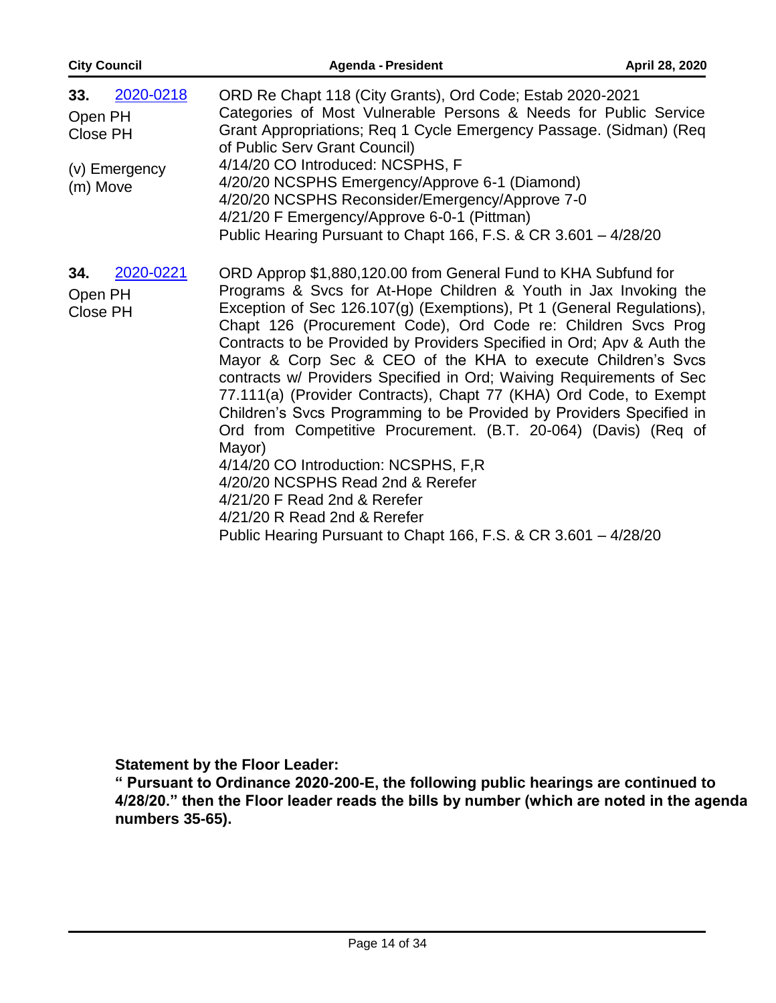| <b>City Council</b>                                                  | <b>Agenda - President</b>                                                                                                                                                                                                                                                                                                                                                                                                                                                                                                                                                                                                                                                                                                                                                                                                                                                                                                                 | April 28, 2020 |
|----------------------------------------------------------------------|-------------------------------------------------------------------------------------------------------------------------------------------------------------------------------------------------------------------------------------------------------------------------------------------------------------------------------------------------------------------------------------------------------------------------------------------------------------------------------------------------------------------------------------------------------------------------------------------------------------------------------------------------------------------------------------------------------------------------------------------------------------------------------------------------------------------------------------------------------------------------------------------------------------------------------------------|----------------|
| 2020-0218<br>33.<br>Open PH<br>Close PH<br>(v) Emergency<br>(m) Move | ORD Re Chapt 118 (City Grants), Ord Code; Estab 2020-2021<br>Categories of Most Vulnerable Persons & Needs for Public Service<br>Grant Appropriations; Req 1 Cycle Emergency Passage. (Sidman) (Req<br>of Public Serv Grant Council)<br>4/14/20 CO Introduced: NCSPHS, F<br>4/20/20 NCSPHS Emergency/Approve 6-1 (Diamond)<br>4/20/20 NCSPHS Reconsider/Emergency/Approve 7-0<br>4/21/20 F Emergency/Approve 6-0-1 (Pittman)<br>Public Hearing Pursuant to Chapt 166, F.S. & CR 3.601 - 4/28/20                                                                                                                                                                                                                                                                                                                                                                                                                                           |                |
| 2020-0221<br>34.<br>Open PH<br>Close PH                              | ORD Approp \$1,880,120.00 from General Fund to KHA Subfund for<br>Programs & Svcs for At-Hope Children & Youth in Jax Invoking the<br>Exception of Sec 126.107(g) (Exemptions), Pt 1 (General Regulations),<br>Chapt 126 (Procurement Code), Ord Code re: Children Svcs Prog<br>Contracts to be Provided by Providers Specified in Ord; Apv & Auth the<br>Mayor & Corp Sec & CEO of the KHA to execute Children's Svcs<br>contracts w/ Providers Specified in Ord; Waiving Requirements of Sec<br>77.111(a) (Provider Contracts), Chapt 77 (KHA) Ord Code, to Exempt<br>Children's Svcs Programming to be Provided by Providers Specified in<br>Ord from Competitive Procurement. (B.T. 20-064) (Davis) (Req of<br>Mayor)<br>4/14/20 CO Introduction: NCSPHS, F,R<br>4/20/20 NCSPHS Read 2nd & Rerefer<br>4/21/20 F Read 2nd & Rerefer<br>4/21/20 R Read 2nd & Rerefer<br>Public Hearing Pursuant to Chapt 166, F.S. & CR 3.601 - 4/28/20 |                |

**Statement by the Floor Leader:** 

**" Pursuant to Ordinance 2020-200-E, the following public hearings are continued to 4/28/20." then the Floor leader reads the bills by number (which are noted in the agenda numbers 35-65).**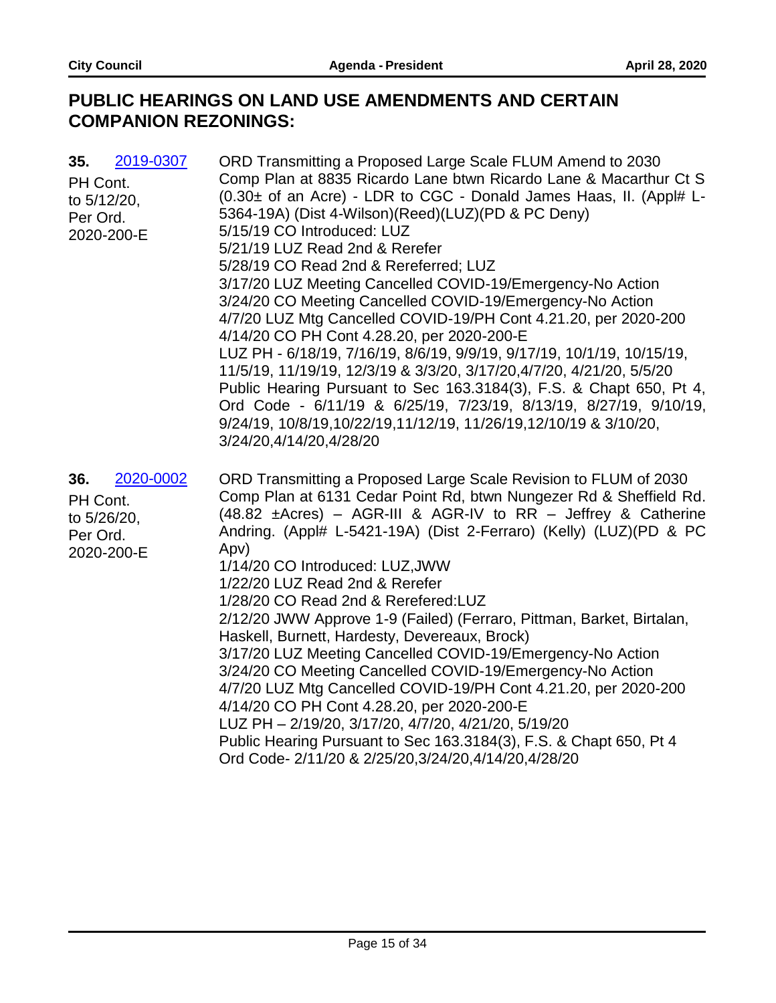## **PUBLIC HEARINGS ON LAND USE AMENDMENTS AND CERTAIN COMPANION REZONINGS:**

| 35.<br>2019-0307<br>PH Cont.<br>to $5/12/20$ ,<br>Per Ord.<br>2020-200-E | ORD Transmitting a Proposed Large Scale FLUM Amend to 2030<br>Comp Plan at 8835 Ricardo Lane btwn Ricardo Lane & Macarthur Ct S<br>(0.30± of an Acre) - LDR to CGC - Donald James Haas, II. (Appl# L-<br>5364-19A) (Dist 4-Wilson)(Reed)(LUZ)(PD & PC Deny)<br>5/15/19 CO Introduced: LUZ<br>5/21/19 LUZ Read 2nd & Rerefer<br>5/28/19 CO Read 2nd & Rereferred; LUZ<br>3/17/20 LUZ Meeting Cancelled COVID-19/Emergency-No Action<br>3/24/20 CO Meeting Cancelled COVID-19/Emergency-No Action<br>4/7/20 LUZ Mtg Cancelled COVID-19/PH Cont 4.21.20, per 2020-200<br>4/14/20 CO PH Cont 4.28.20, per 2020-200-E<br>LUZ PH - 6/18/19, 7/16/19, 8/6/19, 9/9/19, 9/17/19, 10/1/19, 10/15/19,<br>11/5/19, 11/19/19, 12/3/19 & 3/3/20, 3/17/20,4/7/20, 4/21/20, 5/5/20<br>Public Hearing Pursuant to Sec 163.3184(3), F.S. & Chapt 650, Pt 4,<br>Ord Code - 6/11/19 & 6/25/19, 7/23/19, 8/13/19, 8/27/19, 9/10/19,<br>9/24/19, 10/8/19, 10/22/19, 11/12/19, 11/26/19, 12/10/19 & 3/10/20,<br>3/24/20,4/14/20,4/28/20 |
|--------------------------------------------------------------------------|------------------------------------------------------------------------------------------------------------------------------------------------------------------------------------------------------------------------------------------------------------------------------------------------------------------------------------------------------------------------------------------------------------------------------------------------------------------------------------------------------------------------------------------------------------------------------------------------------------------------------------------------------------------------------------------------------------------------------------------------------------------------------------------------------------------------------------------------------------------------------------------------------------------------------------------------------------------------------------------------------------------|
| 2020-0002<br>36.<br>PH Cont.<br>to 5/26/20,<br>Per Ord.<br>2020-200-E    | ORD Transmitting a Proposed Large Scale Revision to FLUM of 2030<br>Comp Plan at 6131 Cedar Point Rd, btwn Nungezer Rd & Sheffield Rd.<br>$(48.82 \pm A$ cres) – AGR-III & AGR-IV to RR – Jeffrey & Catherine<br>Andring. (Appl# L-5421-19A) (Dist 2-Ferraro) (Kelly) (LUZ) (PD & PC<br>Apv)<br>1/14/20 CO Introduced: LUZ, JWW<br>1/22/20 LUZ Read 2nd & Rerefer<br>1/28/20 CO Read 2nd & Rerefered: LUZ<br>2/12/20 JWW Approve 1-9 (Failed) (Ferraro, Pittman, Barket, Birtalan,<br>Haskell, Burnett, Hardesty, Devereaux, Brock)<br>3/17/20 LUZ Meeting Cancelled COVID-19/Emergency-No Action<br>3/24/20 CO Meeting Cancelled COVID-19/Emergency-No Action<br>4/7/20 LUZ Mtg Cancelled COVID-19/PH Cont 4.21.20, per 2020-200<br>4/14/20 CO PH Cont 4.28.20, per 2020-200-E<br>LUZ PH - 2/19/20, 3/17/20, 4/7/20, 4/21/20, 5/19/20<br>Public Hearing Pursuant to Sec 163.3184(3), F.S. & Chapt 650, Pt 4<br>Ord Code- 2/11/20 & 2/25/20,3/24/20,4/14/20,4/28/20                                              |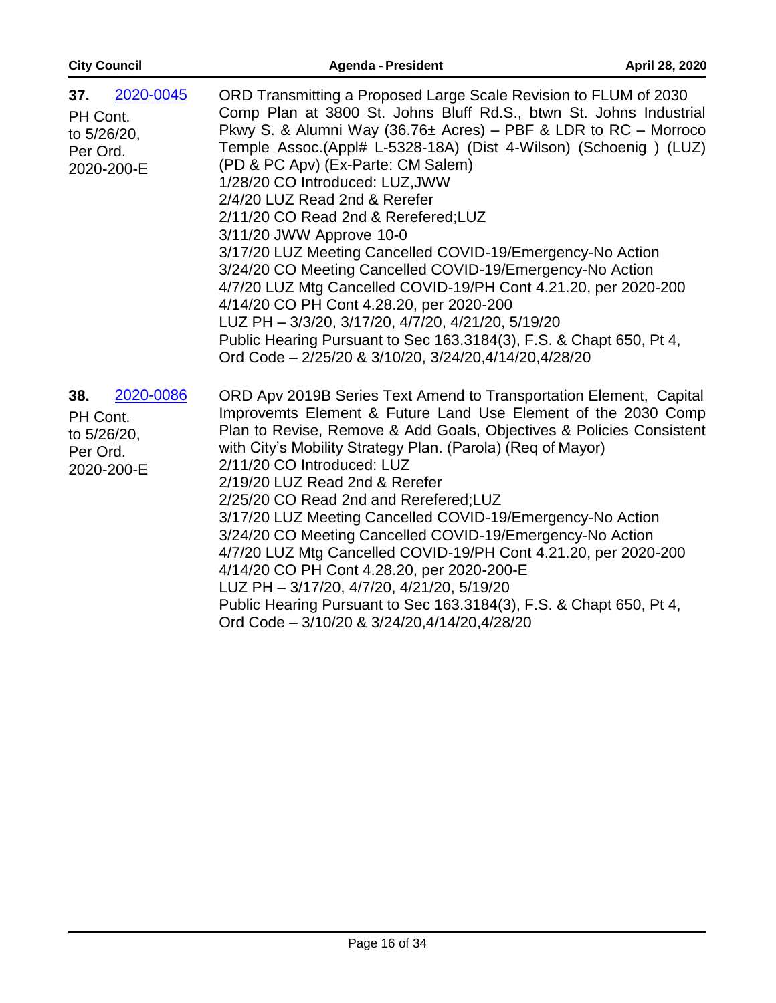| <b>City Council</b>                                                   | <b>Agenda - President</b>                                                                                                                                                                                                                                                                                                                                                                                                                                                                                                                                                                                                                                                                                                                                                                                                                                                                        | April 28, 2020 |
|-----------------------------------------------------------------------|--------------------------------------------------------------------------------------------------------------------------------------------------------------------------------------------------------------------------------------------------------------------------------------------------------------------------------------------------------------------------------------------------------------------------------------------------------------------------------------------------------------------------------------------------------------------------------------------------------------------------------------------------------------------------------------------------------------------------------------------------------------------------------------------------------------------------------------------------------------------------------------------------|----------------|
| 2020-0045<br>37.<br>PH Cont.<br>to 5/26/20,<br>Per Ord.<br>2020-200-E | ORD Transmitting a Proposed Large Scale Revision to FLUM of 2030<br>Comp Plan at 3800 St. Johns Bluff Rd.S., btwn St. Johns Industrial<br>Pkwy S. & Alumni Way (36.76 $\pm$ Acres) – PBF & LDR to RC – Morroco<br>Temple Assoc.(Appl# L-5328-18A) (Dist 4-Wilson) (Schoenig) (LUZ)<br>(PD & PC Apv) (Ex-Parte: CM Salem)<br>1/28/20 CO Introduced: LUZ, JWW<br>2/4/20 LUZ Read 2nd & Rerefer<br>2/11/20 CO Read 2nd & Rerefered; LUZ<br>3/11/20 JWW Approve 10-0<br>3/17/20 LUZ Meeting Cancelled COVID-19/Emergency-No Action<br>3/24/20 CO Meeting Cancelled COVID-19/Emergency-No Action<br>4/7/20 LUZ Mtg Cancelled COVID-19/PH Cont 4.21.20, per 2020-200<br>4/14/20 CO PH Cont 4.28.20, per 2020-200<br>LUZ PH - 3/3/20, 3/17/20, 4/7/20, 4/21/20, 5/19/20<br>Public Hearing Pursuant to Sec 163.3184(3), F.S. & Chapt 650, Pt 4,<br>Ord Code - 2/25/20 & 3/10/20, 3/24/20,4/14/20,4/28/20 |                |
| 2020-0086<br>38.<br>PH Cont.<br>to 5/26/20,<br>Per Ord.<br>2020-200-E | ORD Apv 2019B Series Text Amend to Transportation Element, Capital<br>Improvemts Element & Future Land Use Element of the 2030 Comp<br>Plan to Revise, Remove & Add Goals, Objectives & Policies Consistent<br>with City's Mobility Strategy Plan. (Parola) (Req of Mayor)<br>2/11/20 CO Introduced: LUZ<br>2/19/20 LUZ Read 2nd & Rerefer<br>2/25/20 CO Read 2nd and Rerefered; LUZ<br>3/17/20 LUZ Meeting Cancelled COVID-19/Emergency-No Action<br>3/24/20 CO Meeting Cancelled COVID-19/Emergency-No Action<br>4/7/20 LUZ Mtg Cancelled COVID-19/PH Cont 4.21.20, per 2020-200<br>4/14/20 CO PH Cont 4.28.20, per 2020-200-E<br>LUZ PH - 3/17/20, 4/7/20, 4/21/20, 5/19/20<br>Public Hearing Pursuant to Sec 163.3184(3), F.S. & Chapt 650, Pt 4,<br>Ord Code - 3/10/20 & 3/24/20,4/14/20,4/28/20                                                                                            |                |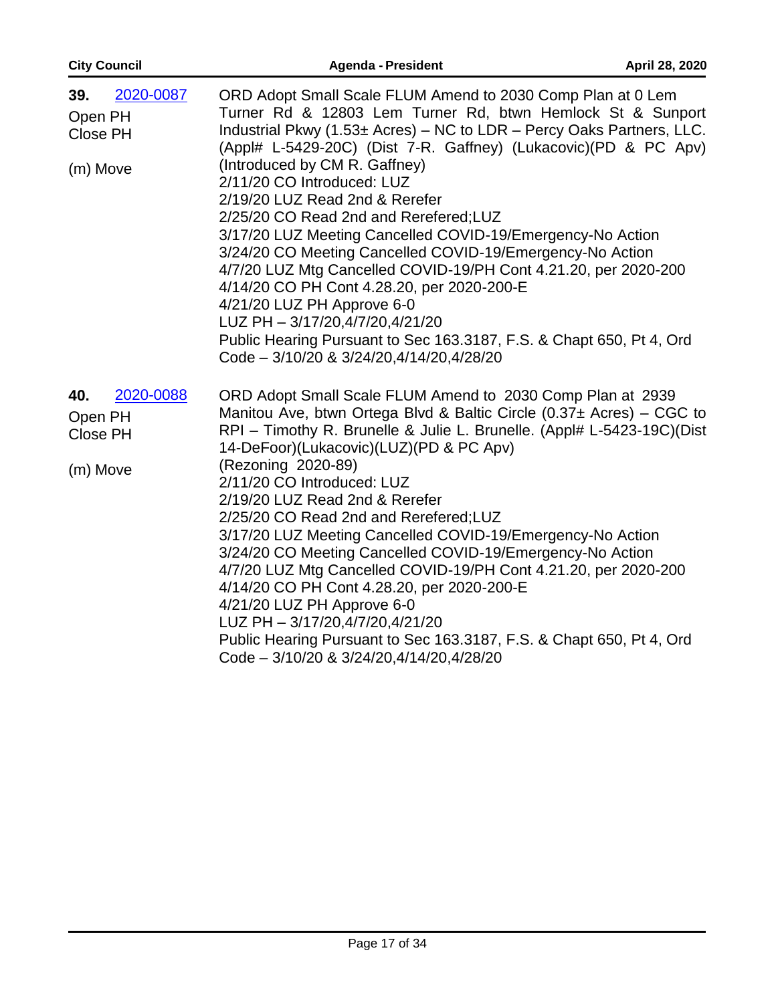| <b>City Council</b>                                 | <b>Agenda - President</b>                                                                                                                                                                                                                                                                                                                                                                                                                                                                                                                                                                                                                                                                                                                                                                                                                         | April 28, 2020 |
|-----------------------------------------------------|---------------------------------------------------------------------------------------------------------------------------------------------------------------------------------------------------------------------------------------------------------------------------------------------------------------------------------------------------------------------------------------------------------------------------------------------------------------------------------------------------------------------------------------------------------------------------------------------------------------------------------------------------------------------------------------------------------------------------------------------------------------------------------------------------------------------------------------------------|----------------|
| 2020-0087<br>39.<br>Open PH<br>Close PH<br>(m) Move | ORD Adopt Small Scale FLUM Amend to 2030 Comp Plan at 0 Lem<br>Turner Rd & 12803 Lem Turner Rd, btwn Hemlock St & Sunport<br>Industrial Pkwy (1.53± Acres) - NC to LDR - Percy Oaks Partners, LLC.<br>(Appl# L-5429-20C) (Dist 7-R. Gaffney) (Lukacovic) (PD & PC Apv)<br>(Introduced by CM R. Gaffney)<br>2/11/20 CO Introduced: LUZ<br>2/19/20 LUZ Read 2nd & Rerefer<br>2/25/20 CO Read 2nd and Rerefered;LUZ<br>3/17/20 LUZ Meeting Cancelled COVID-19/Emergency-No Action<br>3/24/20 CO Meeting Cancelled COVID-19/Emergency-No Action<br>4/7/20 LUZ Mtg Cancelled COVID-19/PH Cont 4.21.20, per 2020-200<br>4/14/20 CO PH Cont 4.28.20, per 2020-200-E<br>4/21/20 LUZ PH Approve 6-0<br>LUZ PH - 3/17/20,4/7/20,4/21/20<br>Public Hearing Pursuant to Sec 163.3187, F.S. & Chapt 650, Pt 4, Ord<br>Code - 3/10/20 & 3/24/20,4/14/20,4/28/20 |                |
| 2020-0088<br>40.<br>Open PH<br>Close PH<br>(m) Move | ORD Adopt Small Scale FLUM Amend to 2030 Comp Plan at 2939<br>Manitou Ave, btwn Ortega Blvd & Baltic Circle $(0.37 \pm \text{Acres})$ – CGC to<br>RPI - Timothy R. Brunelle & Julie L. Brunelle. (Appl# L-5423-19C)(Dist<br>14-DeFoor)(Lukacovic)(LUZ)(PD & PC Apv)<br>(Rezoning 2020-89)<br>2/11/20 CO Introduced: LUZ<br>2/19/20 LUZ Read 2nd & Rerefer<br>2/25/20 CO Read 2nd and Rerefered; LUZ<br>3/17/20 LUZ Meeting Cancelled COVID-19/Emergency-No Action<br>3/24/20 CO Meeting Cancelled COVID-19/Emergency-No Action<br>4/7/20 LUZ Mtg Cancelled COVID-19/PH Cont 4.21.20, per 2020-200<br>4/14/20 CO PH Cont 4.28.20, per 2020-200-E<br>4/21/20 LUZ PH Approve 6-0<br>LUZ PH - 3/17/20,4/7/20,4/21/20<br>Public Hearing Pursuant to Sec 163.3187, F.S. & Chapt 650, Pt 4, Ord<br>Code - 3/10/20 & 3/24/20,4/14/20,4/28/20              |                |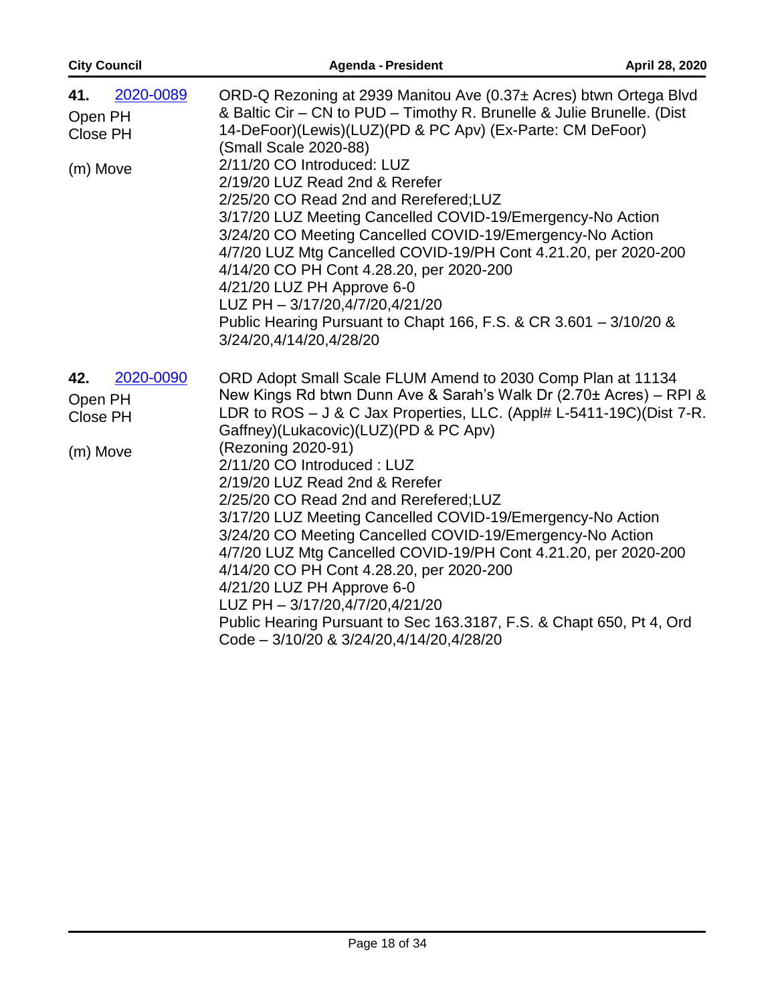| <b>City Council</b>                                 | <b>Agenda - President</b>                                                                                                                                                                                                                                                                                                                                                                                                                                                                                                                                                                                                                                                                                                                                                                                         | April 28, 2020 |
|-----------------------------------------------------|-------------------------------------------------------------------------------------------------------------------------------------------------------------------------------------------------------------------------------------------------------------------------------------------------------------------------------------------------------------------------------------------------------------------------------------------------------------------------------------------------------------------------------------------------------------------------------------------------------------------------------------------------------------------------------------------------------------------------------------------------------------------------------------------------------------------|----------------|
| 2020-0089<br>41.<br>Open PH<br>Close PH<br>(m) Move | ORD-Q Rezoning at 2939 Manitou Ave (0.37± Acres) btwn Ortega Blvd<br>& Baltic Cir - CN to PUD - Timothy R. Brunelle & Julie Brunelle. (Dist<br>14-DeFoor)(Lewis)(LUZ)(PD & PC Apv) (Ex-Parte: CM DeFoor)<br>(Small Scale 2020-88)<br>2/11/20 CO Introduced: LUZ<br>2/19/20 LUZ Read 2nd & Rerefer<br>2/25/20 CO Read 2nd and Rerefered; LUZ<br>3/17/20 LUZ Meeting Cancelled COVID-19/Emergency-No Action<br>3/24/20 CO Meeting Cancelled COVID-19/Emergency-No Action<br>4/7/20 LUZ Mtg Cancelled COVID-19/PH Cont 4.21.20, per 2020-200<br>4/14/20 CO PH Cont 4.28.20, per 2020-200<br>4/21/20 LUZ PH Approve 6-0<br>LUZ PH - 3/17/20,4/7/20,4/21/20<br>Public Hearing Pursuant to Chapt 166, F.S. & CR 3.601 - 3/10/20 &<br>3/24/20,4/14/20,4/28/20                                                            |                |
| 2020-0090<br>42.<br>Open PH<br>Close PH<br>(m) Move | ORD Adopt Small Scale FLUM Amend to 2030 Comp Plan at 11134<br>New Kings Rd btwn Dunn Ave & Sarah's Walk Dr (2.70± Acres) - RPI &<br>LDR to ROS - J & C Jax Properties, LLC. (Appl# L-5411-19C)(Dist 7-R.<br>Gaffney)(Lukacovic)(LUZ)(PD & PC Apv)<br>(Rezoning 2020-91)<br>2/11/20 CO Introduced: LUZ<br>2/19/20 LUZ Read 2nd & Rerefer<br>2/25/20 CO Read 2nd and Rerefered; LUZ<br>3/17/20 LUZ Meeting Cancelled COVID-19/Emergency-No Action<br>3/24/20 CO Meeting Cancelled COVID-19/Emergency-No Action<br>4/7/20 LUZ Mtg Cancelled COVID-19/PH Cont 4.21.20, per 2020-200<br>4/14/20 CO PH Cont 4.28.20, per 2020-200<br>4/21/20 LUZ PH Approve 6-0<br>LUZ PH - 3/17/20,4/7/20,4/21/20<br>Public Hearing Pursuant to Sec 163.3187, F.S. & Chapt 650, Pt 4, Ord<br>Code - 3/10/20 & 3/24/20,4/14/20,4/28/20 |                |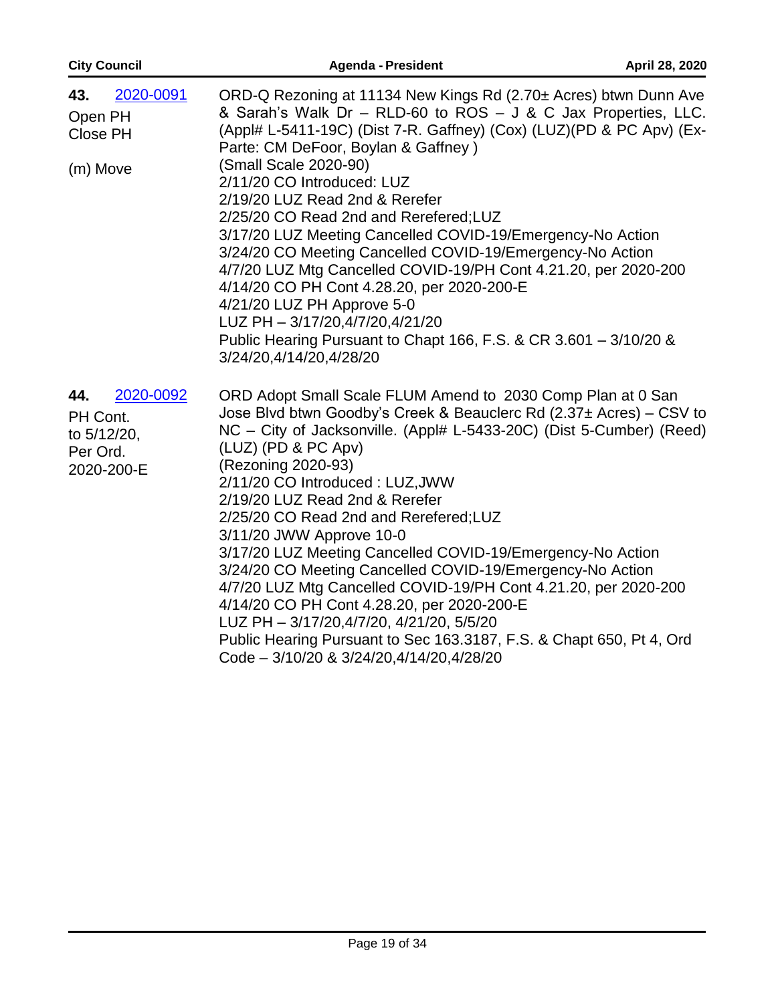| <b>City Council</b>                                                   | <b>Agenda - President</b>                                                                                                                                                                                                                                                                                                                                                                                                                                                                                                                                                                                                                                                                                                                                                                                     | April 28, 2020 |
|-----------------------------------------------------------------------|---------------------------------------------------------------------------------------------------------------------------------------------------------------------------------------------------------------------------------------------------------------------------------------------------------------------------------------------------------------------------------------------------------------------------------------------------------------------------------------------------------------------------------------------------------------------------------------------------------------------------------------------------------------------------------------------------------------------------------------------------------------------------------------------------------------|----------------|
| 2020-0091<br>43.<br>Open PH<br>Close PH<br>(m) Move                   | ORD-Q Rezoning at 11134 New Kings Rd (2.70± Acres) btwn Dunn Ave<br>& Sarah's Walk Dr - RLD-60 to ROS - J & C Jax Properties, LLC.<br>(Appl# L-5411-19C) (Dist 7-R. Gaffney) (Cox) (LUZ) (PD & PC Apv) (Ex-<br>Parte: CM DeFoor, Boylan & Gaffney)<br>(Small Scale 2020-90)<br>2/11/20 CO Introduced: LUZ<br>2/19/20 LUZ Read 2nd & Rerefer<br>2/25/20 CO Read 2nd and Rerefered; LUZ<br>3/17/20 LUZ Meeting Cancelled COVID-19/Emergency-No Action<br>3/24/20 CO Meeting Cancelled COVID-19/Emergency-No Action<br>4/7/20 LUZ Mtg Cancelled COVID-19/PH Cont 4.21.20, per 2020-200<br>4/14/20 CO PH Cont 4.28.20, per 2020-200-E<br>4/21/20 LUZ PH Approve 5-0<br>LUZ PH - 3/17/20,4/7/20,4/21/20<br>Public Hearing Pursuant to Chapt 166, F.S. & CR 3.601 - 3/10/20 &<br>3/24/20,4/14/20,4/28/20            |                |
| 2020-0092<br>44.<br>PH Cont.<br>to 5/12/20,<br>Per Ord.<br>2020-200-E | ORD Adopt Small Scale FLUM Amend to 2030 Comp Plan at 0 San<br>Jose Blvd btwn Goodby's Creek & Beauclerc Rd (2.37± Acres) – CSV to<br>NC – City of Jacksonville. (Appl# L-5433-20C) (Dist 5-Cumber) (Reed)<br>(LUZ) (PD & PC Apv)<br>(Rezoning 2020-93)<br>2/11/20 CO Introduced: LUZ, JWW<br>2/19/20 LUZ Read 2nd & Rerefer<br>2/25/20 CO Read 2nd and Rerefered;LUZ<br>3/11/20 JWW Approve 10-0<br>3/17/20 LUZ Meeting Cancelled COVID-19/Emergency-No Action<br>3/24/20 CO Meeting Cancelled COVID-19/Emergency-No Action<br>4/7/20 LUZ Mtg Cancelled COVID-19/PH Cont 4.21.20, per 2020-200<br>4/14/20 CO PH Cont 4.28.20, per 2020-200-E<br>LUZ PH - 3/17/20,4/7/20, 4/21/20, 5/5/20<br>Public Hearing Pursuant to Sec 163.3187, F.S. & Chapt 650, Pt 4, Ord<br>Code - 3/10/20 & 3/24/20,4/14/20,4/28/20 |                |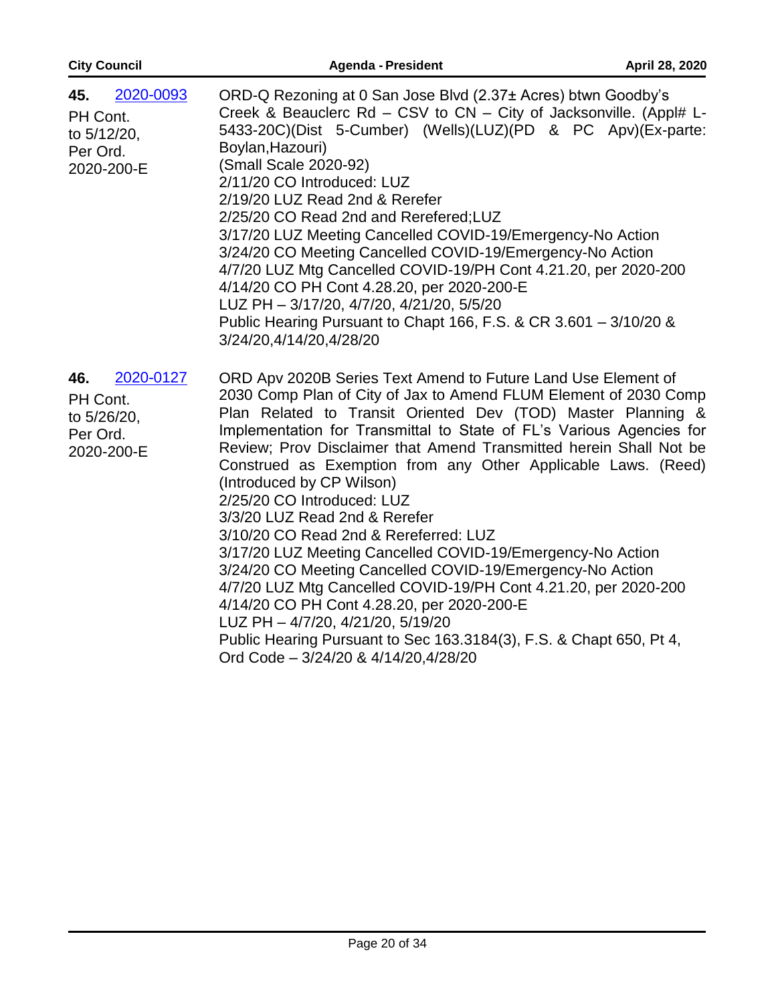| <b>City Council</b>                                                   | <b>Agenda - President</b>                                                                                                                                                                                                                                                                                                                                                                                                                                                                                                                                                                                                                                                                                                                                                                                                                                                                                                                             | April 28, 2020 |
|-----------------------------------------------------------------------|-------------------------------------------------------------------------------------------------------------------------------------------------------------------------------------------------------------------------------------------------------------------------------------------------------------------------------------------------------------------------------------------------------------------------------------------------------------------------------------------------------------------------------------------------------------------------------------------------------------------------------------------------------------------------------------------------------------------------------------------------------------------------------------------------------------------------------------------------------------------------------------------------------------------------------------------------------|----------------|
| 2020-0093<br>45.<br>PH Cont.<br>to 5/12/20,<br>Per Ord.<br>2020-200-E | ORD-Q Rezoning at 0 San Jose Blvd (2.37± Acres) btwn Goodby's<br>Creek & Beauclerc Rd - CSV to CN - City of Jacksonville. (Appl# L-<br>5433-20C)(Dist 5-Cumber) (Wells)(LUZ)(PD & PC Apv)(Ex-parte:<br>Boylan, Hazouri)<br>(Small Scale 2020-92)<br>2/11/20 CO Introduced: LUZ<br>2/19/20 LUZ Read 2nd & Rerefer<br>2/25/20 CO Read 2nd and Rerefered; LUZ<br>3/17/20 LUZ Meeting Cancelled COVID-19/Emergency-No Action<br>3/24/20 CO Meeting Cancelled COVID-19/Emergency-No Action<br>4/7/20 LUZ Mtg Cancelled COVID-19/PH Cont 4.21.20, per 2020-200<br>4/14/20 CO PH Cont 4.28.20, per 2020-200-E<br>LUZ PH - 3/17/20, 4/7/20, 4/21/20, 5/5/20<br>Public Hearing Pursuant to Chapt 166, F.S. & CR 3.601 - 3/10/20 &<br>3/24/20,4/14/20,4/28/20                                                                                                                                                                                                   |                |
| 2020-0127<br>46.<br>PH Cont.<br>to 5/26/20,<br>Per Ord.<br>2020-200-E | ORD Apv 2020B Series Text Amend to Future Land Use Element of<br>2030 Comp Plan of City of Jax to Amend FLUM Element of 2030 Comp<br>Plan Related to Transit Oriented Dev (TOD) Master Planning &<br>Implementation for Transmittal to State of FL's Various Agencies for<br>Review; Prov Disclaimer that Amend Transmitted herein Shall Not be<br>Construed as Exemption from any Other Applicable Laws. (Reed)<br>(Introduced by CP Wilson)<br>2/25/20 CO Introduced: LUZ<br>3/3/20 LUZ Read 2nd & Rerefer<br>3/10/20 CO Read 2nd & Rereferred: LUZ<br>3/17/20 LUZ Meeting Cancelled COVID-19/Emergency-No Action<br>3/24/20 CO Meeting Cancelled COVID-19/Emergency-No Action<br>4/7/20 LUZ Mtg Cancelled COVID-19/PH Cont 4.21.20, per 2020-200<br>4/14/20 CO PH Cont 4.28.20, per 2020-200-E<br>LUZ PH - 4/7/20, 4/21/20, 5/19/20<br>Public Hearing Pursuant to Sec 163.3184(3), F.S. & Chapt 650, Pt 4,<br>Ord Code - 3/24/20 & 4/14/20,4/28/20 |                |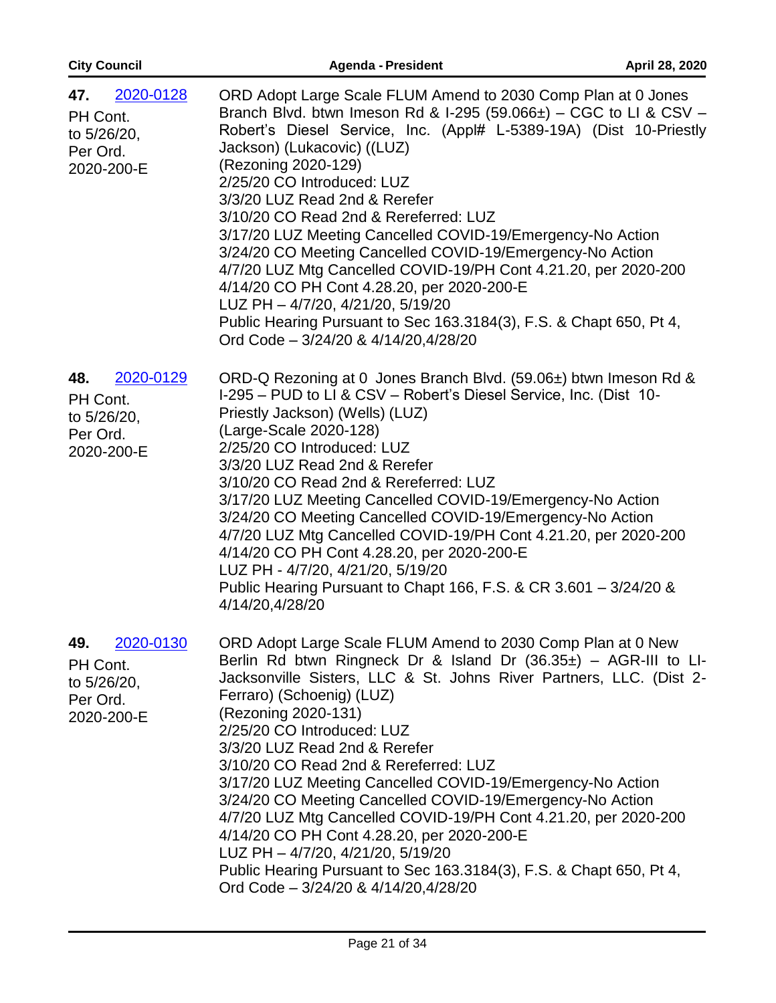| <b>City Council</b>                                                   | <b>Agenda - President</b>                                                                                                                                                                                                                                                                                                                                                                                                                                                                                                                                                                                                                                                                                                                                                    | April 28, 2020 |
|-----------------------------------------------------------------------|------------------------------------------------------------------------------------------------------------------------------------------------------------------------------------------------------------------------------------------------------------------------------------------------------------------------------------------------------------------------------------------------------------------------------------------------------------------------------------------------------------------------------------------------------------------------------------------------------------------------------------------------------------------------------------------------------------------------------------------------------------------------------|----------------|
| 2020-0128<br>47.<br>PH Cont.<br>to 5/26/20,<br>Per Ord.<br>2020-200-E | ORD Adopt Large Scale FLUM Amend to 2030 Comp Plan at 0 Jones<br>Branch Blvd. btwn Imeson Rd & I-295 (59.066 $\pm$ ) – CGC to LI & CSV –<br>Robert's Diesel Service, Inc. (Appl# L-5389-19A) (Dist 10-Priestly<br>Jackson) (Lukacovic) ((LUZ)<br>(Rezoning 2020-129)<br>2/25/20 CO Introduced: LUZ<br>3/3/20 LUZ Read 2nd & Rerefer<br>3/10/20 CO Read 2nd & Rereferred: LUZ<br>3/17/20 LUZ Meeting Cancelled COVID-19/Emergency-No Action<br>3/24/20 CO Meeting Cancelled COVID-19/Emergency-No Action<br>4/7/20 LUZ Mtg Cancelled COVID-19/PH Cont 4.21.20, per 2020-200<br>4/14/20 CO PH Cont 4.28.20, per 2020-200-E<br>LUZ PH - 4/7/20, 4/21/20, 5/19/20<br>Public Hearing Pursuant to Sec 163.3184(3), F.S. & Chapt 650, Pt 4,<br>Ord Code - 3/24/20 & 4/14/20,4/28/20 |                |
| 2020-0129<br>48.<br>PH Cont.<br>to 5/26/20,<br>Per Ord.<br>2020-200-E | ORD-Q Rezoning at 0 Jones Branch Blvd. (59.06±) btwn Imeson Rd &<br>I-295 - PUD to LI & CSV - Robert's Diesel Service, Inc. (Dist 10-<br>Priestly Jackson) (Wells) (LUZ)<br>(Large-Scale 2020-128)<br>2/25/20 CO Introduced: LUZ<br>3/3/20 LUZ Read 2nd & Rerefer<br>3/10/20 CO Read 2nd & Rereferred: LUZ<br>3/17/20 LUZ Meeting Cancelled COVID-19/Emergency-No Action<br>3/24/20 CO Meeting Cancelled COVID-19/Emergency-No Action<br>4/7/20 LUZ Mtg Cancelled COVID-19/PH Cont 4.21.20, per 2020-200<br>4/14/20 CO PH Cont 4.28.20, per 2020-200-E<br>LUZ PH - 4/7/20, 4/21/20, 5/19/20<br>Public Hearing Pursuant to Chapt 166, F.S. & CR 3.601 - 3/24/20 &<br>4/14/20,4/28/20                                                                                          |                |
| 2020-0130<br>49.<br>PH Cont.<br>to 5/26/20,<br>Per Ord.<br>2020-200-E | ORD Adopt Large Scale FLUM Amend to 2030 Comp Plan at 0 New<br>Berlin Rd btwn Ringneck Dr & Island Dr $(36.35\pm)$ – AGR-III to LI-<br>Jacksonville Sisters, LLC & St. Johns River Partners, LLC. (Dist 2-<br>Ferraro) (Schoenig) (LUZ)<br>(Rezoning 2020-131)<br>2/25/20 CO Introduced: LUZ<br>3/3/20 LUZ Read 2nd & Rerefer<br>3/10/20 CO Read 2nd & Rereferred: LUZ<br>3/17/20 LUZ Meeting Cancelled COVID-19/Emergency-No Action<br>3/24/20 CO Meeting Cancelled COVID-19/Emergency-No Action<br>4/7/20 LUZ Mtg Cancelled COVID-19/PH Cont 4.21.20, per 2020-200<br>4/14/20 CO PH Cont 4.28.20, per 2020-200-E<br>LUZ PH - 4/7/20, 4/21/20, 5/19/20<br>Public Hearing Pursuant to Sec 163.3184(3), F.S. & Chapt 650, Pt 4,<br>Ord Code - 3/24/20 & 4/14/20,4/28/20       |                |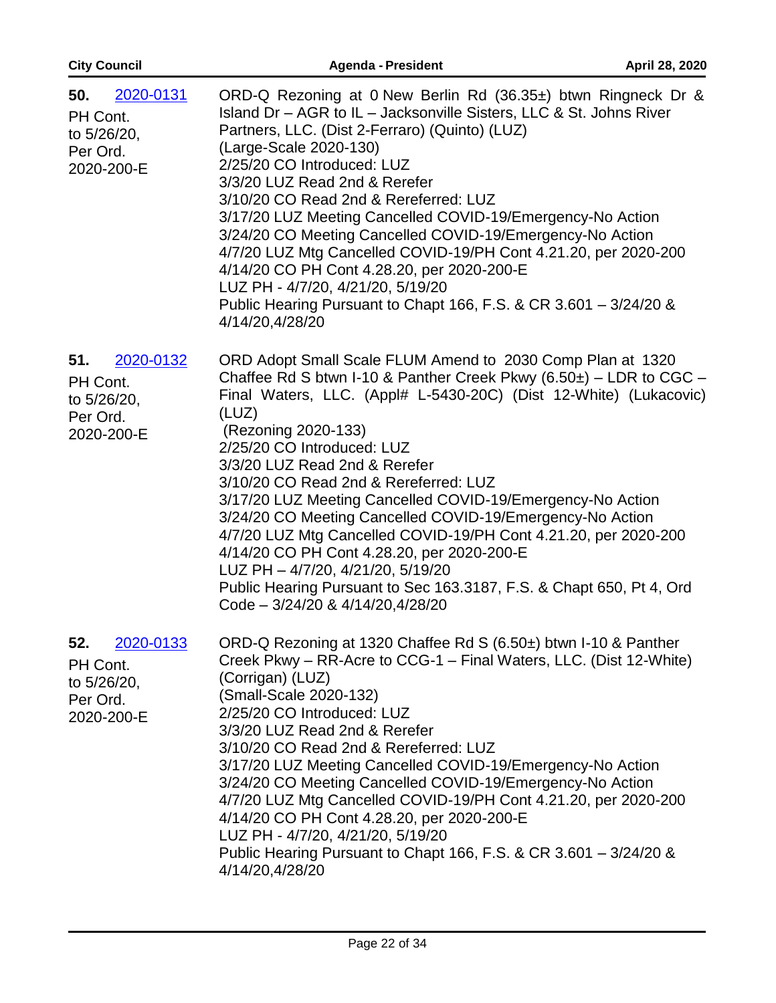| <b>City Council</b>                                                   | <b>Agenda - President</b>                                                                                                                                                                                                                                                                                                                                                                                                                                                                                                                                                                                                                                                                                                                      | April 28, 2020 |
|-----------------------------------------------------------------------|------------------------------------------------------------------------------------------------------------------------------------------------------------------------------------------------------------------------------------------------------------------------------------------------------------------------------------------------------------------------------------------------------------------------------------------------------------------------------------------------------------------------------------------------------------------------------------------------------------------------------------------------------------------------------------------------------------------------------------------------|----------------|
| 2020-0131<br>50.<br>PH Cont.<br>to 5/26/20,<br>Per Ord.<br>2020-200-E | ORD-Q Rezoning at 0 New Berlin Rd (36.35±) btwn Ringneck Dr &<br>Island Dr - AGR to IL - Jacksonville Sisters, LLC & St. Johns River<br>Partners, LLC. (Dist 2-Ferraro) (Quinto) (LUZ)<br>(Large-Scale 2020-130)<br>2/25/20 CO Introduced: LUZ<br>3/3/20 LUZ Read 2nd & Rerefer<br>3/10/20 CO Read 2nd & Rereferred: LUZ<br>3/17/20 LUZ Meeting Cancelled COVID-19/Emergency-No Action<br>3/24/20 CO Meeting Cancelled COVID-19/Emergency-No Action<br>4/7/20 LUZ Mtg Cancelled COVID-19/PH Cont 4.21.20, per 2020-200<br>4/14/20 CO PH Cont 4.28.20, per 2020-200-E<br>LUZ PH - 4/7/20, 4/21/20, 5/19/20<br>Public Hearing Pursuant to Chapt 166, F.S. & CR 3.601 - 3/24/20 &<br>4/14/20,4/28/20                                              |                |
| 51.<br>2020-0132<br>PH Cont.<br>to 5/26/20,<br>Per Ord.<br>2020-200-E | ORD Adopt Small Scale FLUM Amend to 2030 Comp Plan at 1320<br>Chaffee Rd S btwn I-10 & Panther Creek Pkwy $(6.50\pm)$ – LDR to CGC –<br>Final Waters, LLC. (Appl# L-5430-20C) (Dist 12-White) (Lukacovic)<br>(LUZ)<br>(Rezoning 2020-133)<br>2/25/20 CO Introduced: LUZ<br>3/3/20 LUZ Read 2nd & Rerefer<br>3/10/20 CO Read 2nd & Rereferred: LUZ<br>3/17/20 LUZ Meeting Cancelled COVID-19/Emergency-No Action<br>3/24/20 CO Meeting Cancelled COVID-19/Emergency-No Action<br>4/7/20 LUZ Mtg Cancelled COVID-19/PH Cont 4.21.20, per 2020-200<br>4/14/20 CO PH Cont 4.28.20, per 2020-200-E<br>LUZ PH - 4/7/20, 4/21/20, 5/19/20<br>Public Hearing Pursuant to Sec 163.3187, F.S. & Chapt 650, Pt 4, Ord<br>Code - 3/24/20 & 4/14/20,4/28/20 |                |
| 2020-0133<br>52.<br>PH Cont.<br>to 5/26/20,<br>Per Ord.<br>2020-200-E | ORD-Q Rezoning at 1320 Chaffee Rd S (6.50±) btwn I-10 & Panther<br>Creek Pkwy – RR-Acre to CCG-1 – Final Waters, LLC. (Dist 12-White)<br>(Corrigan) (LUZ)<br>(Small-Scale 2020-132)<br>2/25/20 CO Introduced: LUZ<br>3/3/20 LUZ Read 2nd & Rerefer<br>3/10/20 CO Read 2nd & Rereferred: LUZ<br>3/17/20 LUZ Meeting Cancelled COVID-19/Emergency-No Action<br>3/24/20 CO Meeting Cancelled COVID-19/Emergency-No Action<br>4/7/20 LUZ Mtg Cancelled COVID-19/PH Cont 4.21.20, per 2020-200<br>4/14/20 CO PH Cont 4.28.20, per 2020-200-E<br>LUZ PH - 4/7/20, 4/21/20, 5/19/20<br>Public Hearing Pursuant to Chapt 166, F.S. & CR 3.601 - 3/24/20 &<br>4/14/20,4/28/20                                                                           |                |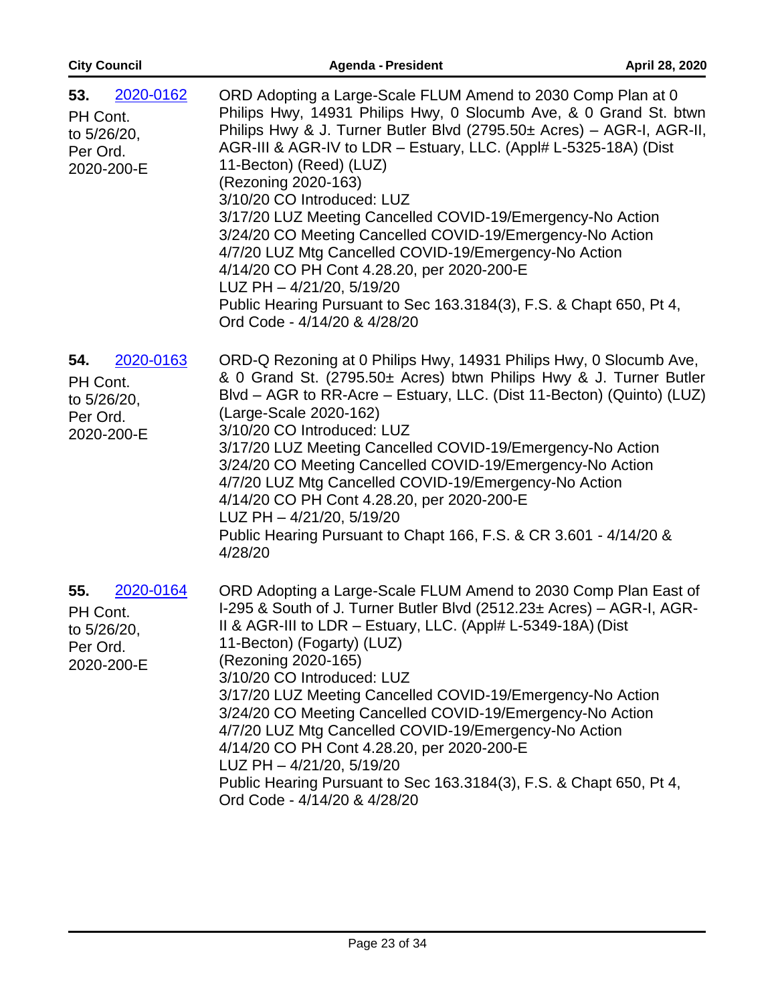| <b>City Council</b>                                                   | <b>Agenda - President</b>                                                                                                                                                                                                                                                                                                                                                                                                                                                                                                                                                                                                                                                                                                            | April 28, 2020 |
|-----------------------------------------------------------------------|--------------------------------------------------------------------------------------------------------------------------------------------------------------------------------------------------------------------------------------------------------------------------------------------------------------------------------------------------------------------------------------------------------------------------------------------------------------------------------------------------------------------------------------------------------------------------------------------------------------------------------------------------------------------------------------------------------------------------------------|----------------|
| 2020-0162<br>53.<br>PH Cont.<br>to 5/26/20,<br>Per Ord.<br>2020-200-E | ORD Adopting a Large-Scale FLUM Amend to 2030 Comp Plan at 0<br>Philips Hwy, 14931 Philips Hwy, 0 Slocumb Ave, & 0 Grand St. btwn<br>Philips Hwy & J. Turner Butler Blvd (2795.50± Acres) - AGR-I, AGR-II,<br>AGR-III & AGR-IV to LDR - Estuary, LLC. (Appl# L-5325-18A) (Dist<br>11-Becton) (Reed) (LUZ)<br>(Rezoning 2020-163)<br>3/10/20 CO Introduced: LUZ<br>3/17/20 LUZ Meeting Cancelled COVID-19/Emergency-No Action<br>3/24/20 CO Meeting Cancelled COVID-19/Emergency-No Action<br>4/7/20 LUZ Mtg Cancelled COVID-19/Emergency-No Action<br>4/14/20 CO PH Cont 4.28.20, per 2020-200-E<br>LUZ PH - 4/21/20, 5/19/20<br>Public Hearing Pursuant to Sec 163.3184(3), F.S. & Chapt 650, Pt 4,<br>Ord Code - 4/14/20 & 4/28/20 |                |
| 2020-0163<br>54.<br>PH Cont.<br>to 5/26/20,<br>Per Ord.<br>2020-200-E | ORD-Q Rezoning at 0 Philips Hwy, 14931 Philips Hwy, 0 Slocumb Ave,<br>& 0 Grand St. (2795.50± Acres) btwn Philips Hwy & J. Turner Butler<br>Blvd - AGR to RR-Acre - Estuary, LLC. (Dist 11-Becton) (Quinto) (LUZ)<br>(Large-Scale 2020-162)<br>3/10/20 CO Introduced: LUZ<br>3/17/20 LUZ Meeting Cancelled COVID-19/Emergency-No Action<br>3/24/20 CO Meeting Cancelled COVID-19/Emergency-No Action<br>4/7/20 LUZ Mtg Cancelled COVID-19/Emergency-No Action<br>4/14/20 CO PH Cont 4.28.20, per 2020-200-E<br>LUZ PH - 4/21/20, 5/19/20<br>Public Hearing Pursuant to Chapt 166, F.S. & CR 3.601 - 4/14/20 &<br>4/28/20                                                                                                             |                |
| 2020-0164<br>55.<br>PH Cont.<br>to 5/26/20,<br>Per Ord.<br>2020-200-E | ORD Adopting a Large-Scale FLUM Amend to 2030 Comp Plan East of<br>I-295 & South of J. Turner Butler Blvd (2512.23± Acres) - AGR-I, AGR-<br>II & AGR-III to LDR $-$ Estuary, LLC. (Appl# L-5349-18A) (Dist<br>11-Becton) (Fogarty) (LUZ)<br>(Rezoning 2020-165)<br>3/10/20 CO Introduced: LUZ<br>3/17/20 LUZ Meeting Cancelled COVID-19/Emergency-No Action<br>3/24/20 CO Meeting Cancelled COVID-19/Emergency-No Action<br>4/7/20 LUZ Mtg Cancelled COVID-19/Emergency-No Action<br>4/14/20 CO PH Cont 4.28.20, per 2020-200-E<br>LUZ PH - 4/21/20, 5/19/20<br>Public Hearing Pursuant to Sec 163.3184(3), F.S. & Chapt 650, Pt 4,<br>Ord Code - 4/14/20 & 4/28/20                                                                  |                |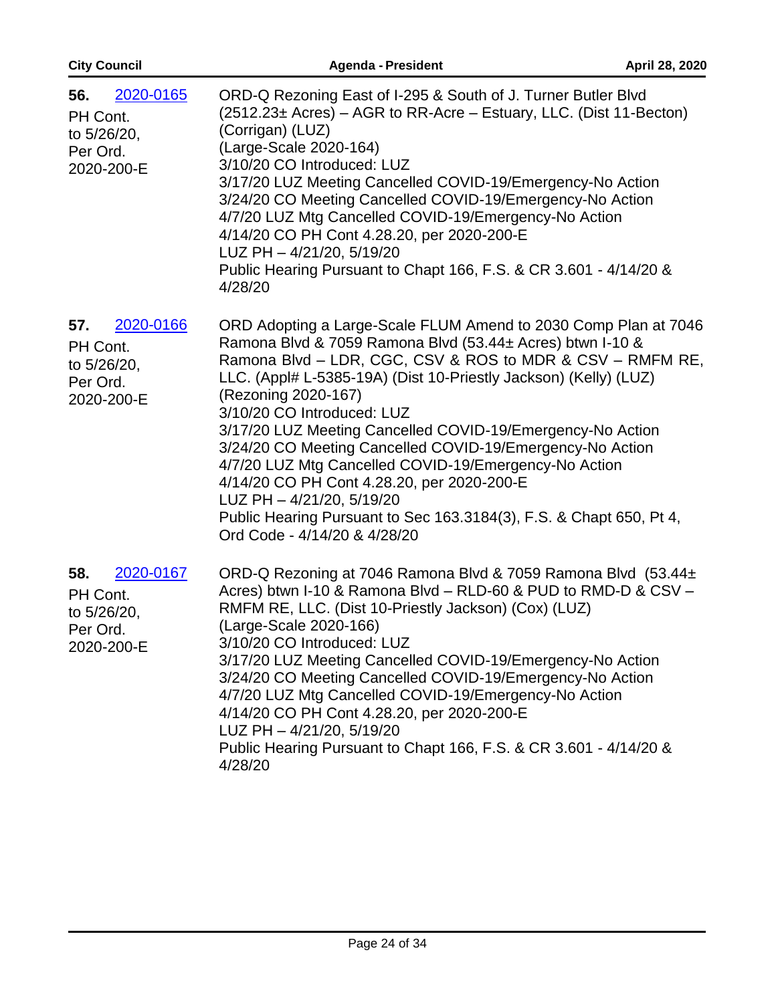| <b>City Council</b>                                                   | <b>Agenda - President</b>                                                                                                                                                                                                                                                                                                                                                                                                                                                                                                                                                                                                                                                                | April 28, 2020 |
|-----------------------------------------------------------------------|------------------------------------------------------------------------------------------------------------------------------------------------------------------------------------------------------------------------------------------------------------------------------------------------------------------------------------------------------------------------------------------------------------------------------------------------------------------------------------------------------------------------------------------------------------------------------------------------------------------------------------------------------------------------------------------|----------------|
| 2020-0165<br>56.<br>PH Cont.<br>to 5/26/20,<br>Per Ord.<br>2020-200-E | ORD-Q Rezoning East of I-295 & South of J. Turner Butler Blvd<br>$(2512.23 \pm \text{Acres}) - \text{AGR}$ to RR-Acre – Estuary, LLC. (Dist 11-Becton)<br>(Corrigan) (LUZ)<br>(Large-Scale 2020-164)<br>3/10/20 CO Introduced: LUZ<br>3/17/20 LUZ Meeting Cancelled COVID-19/Emergency-No Action<br>3/24/20 CO Meeting Cancelled COVID-19/Emergency-No Action<br>4/7/20 LUZ Mtg Cancelled COVID-19/Emergency-No Action<br>4/14/20 CO PH Cont 4.28.20, per 2020-200-E<br>LUZ PH - 4/21/20, 5/19/20<br>Public Hearing Pursuant to Chapt 166, F.S. & CR 3.601 - 4/14/20 &<br>4/28/20                                                                                                        |                |
| 2020-0166<br>57.<br>PH Cont.<br>to 5/26/20,<br>Per Ord.<br>2020-200-E | ORD Adopting a Large-Scale FLUM Amend to 2030 Comp Plan at 7046<br>Ramona Blvd & 7059 Ramona Blvd (53.44± Acres) btwn I-10 &<br>Ramona Blvd - LDR, CGC, CSV & ROS to MDR & CSV - RMFM RE,<br>LLC. (Appl# L-5385-19A) (Dist 10-Priestly Jackson) (Kelly) (LUZ)<br>(Rezoning 2020-167)<br>3/10/20 CO Introduced: LUZ<br>3/17/20 LUZ Meeting Cancelled COVID-19/Emergency-No Action<br>3/24/20 CO Meeting Cancelled COVID-19/Emergency-No Action<br>4/7/20 LUZ Mtg Cancelled COVID-19/Emergency-No Action<br>4/14/20 CO PH Cont 4.28.20, per 2020-200-E<br>LUZ PH - 4/21/20, 5/19/20<br>Public Hearing Pursuant to Sec 163.3184(3), F.S. & Chapt 650, Pt 4,<br>Ord Code - 4/14/20 & 4/28/20 |                |
| 58.<br>2020-0167<br>PH Cont.<br>to 5/26/20.<br>Per Ord.<br>2020-200-E | ORD-Q Rezoning at 7046 Ramona Blvd & 7059 Ramona Blvd (53.44±<br>Acres) btwn I-10 & Ramona Blvd - RLD-60 & PUD to RMD-D & CSV -<br>RMFM RE, LLC. (Dist 10-Priestly Jackson) (Cox) (LUZ)<br>(Large-Scale 2020-166)<br>3/10/20 CO Introduced: LUZ<br>3/17/20 LUZ Meeting Cancelled COVID-19/Emergency-No Action<br>3/24/20 CO Meeting Cancelled COVID-19/Emergency-No Action<br>4/7/20 LUZ Mtg Cancelled COVID-19/Emergency-No Action<br>4/14/20 CO PH Cont 4.28.20, per 2020-200-E<br>LUZ PH - 4/21/20, 5/19/20<br>Public Hearing Pursuant to Chapt 166, F.S. & CR 3.601 - 4/14/20 &<br>4/28/20                                                                                           |                |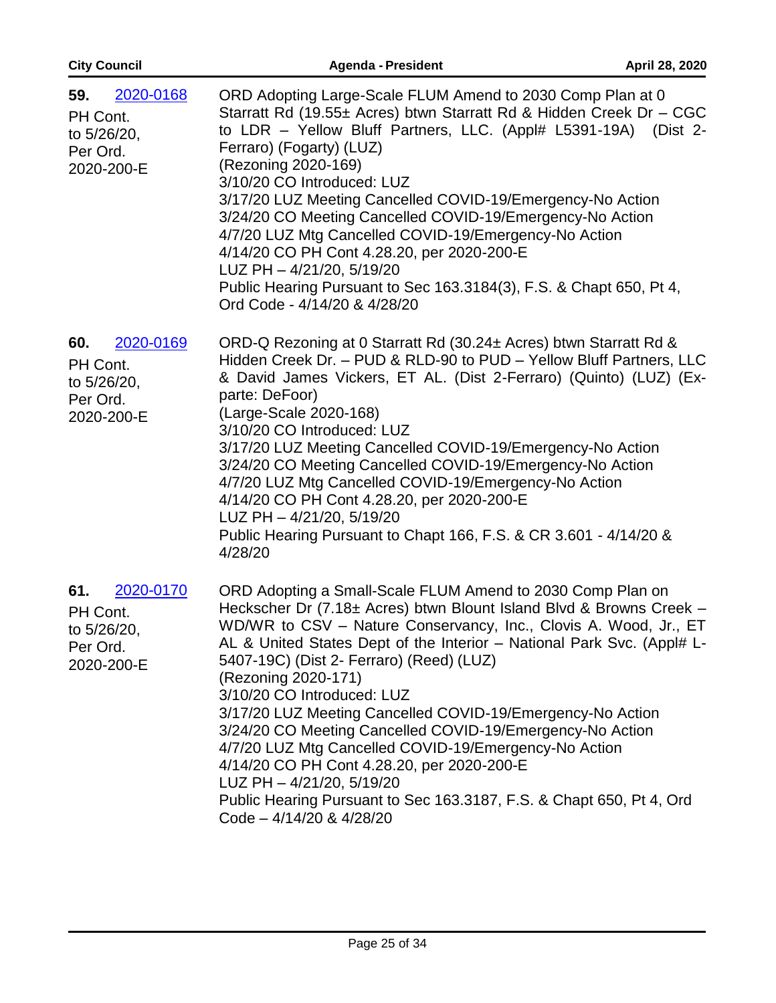| <b>City Council</b>                                                   | <b>Agenda - President</b>                                                                                                                                                                                                                                                                                                                                                                                                                                                                                                                                                                                                                                                                                                                              | April 28, 2020 |
|-----------------------------------------------------------------------|--------------------------------------------------------------------------------------------------------------------------------------------------------------------------------------------------------------------------------------------------------------------------------------------------------------------------------------------------------------------------------------------------------------------------------------------------------------------------------------------------------------------------------------------------------------------------------------------------------------------------------------------------------------------------------------------------------------------------------------------------------|----------------|
| 2020-0168<br>59.<br>PH Cont.<br>to 5/26/20,<br>Per Ord.<br>2020-200-E | ORD Adopting Large-Scale FLUM Amend to 2030 Comp Plan at 0<br>Starratt Rd (19.55± Acres) btwn Starratt Rd & Hidden Creek Dr - CGC<br>to LDR - Yellow Bluff Partners, LLC. (Appl# L5391-19A) (Dist 2-<br>Ferraro) (Fogarty) (LUZ)<br>(Rezoning 2020-169)<br>3/10/20 CO Introduced: LUZ<br>3/17/20 LUZ Meeting Cancelled COVID-19/Emergency-No Action<br>3/24/20 CO Meeting Cancelled COVID-19/Emergency-No Action<br>4/7/20 LUZ Mtg Cancelled COVID-19/Emergency-No Action<br>4/14/20 CO PH Cont 4.28.20, per 2020-200-E<br>LUZ PH - 4/21/20, 5/19/20<br>Public Hearing Pursuant to Sec 163.3184(3), F.S. & Chapt 650, Pt 4,<br>Ord Code - 4/14/20 & 4/28/20                                                                                            |                |
| 2020-0169<br>60.<br>PH Cont.<br>to 5/26/20,<br>Per Ord.<br>2020-200-E | ORD-Q Rezoning at 0 Starratt Rd (30.24± Acres) btwn Starratt Rd &<br>Hidden Creek Dr. - PUD & RLD-90 to PUD - Yellow Bluff Partners, LLC<br>& David James Vickers, ET AL. (Dist 2-Ferraro) (Quinto) (LUZ) (Ex-<br>parte: DeFoor)<br>(Large-Scale 2020-168)<br>3/10/20 CO Introduced: LUZ<br>3/17/20 LUZ Meeting Cancelled COVID-19/Emergency-No Action<br>3/24/20 CO Meeting Cancelled COVID-19/Emergency-No Action<br>4/7/20 LUZ Mtg Cancelled COVID-19/Emergency-No Action<br>4/14/20 CO PH Cont 4.28.20, per 2020-200-E<br>LUZ PH - 4/21/20, 5/19/20<br>Public Hearing Pursuant to Chapt 166, F.S. & CR 3.601 - 4/14/20 &<br>4/28/20                                                                                                                |                |
| 2020-0170<br>61.<br>PH Cont.<br>to 5/26/20,<br>Per Ord.<br>2020-200-E | ORD Adopting a Small-Scale FLUM Amend to 2030 Comp Plan on<br>Heckscher Dr (7.18± Acres) btwn Blount Island Blvd & Browns Creek -<br>WD/WR to CSV – Nature Conservancy, Inc., Clovis A. Wood, Jr., ET<br>AL & United States Dept of the Interior – National Park Svc. (Appl# L-<br>5407-19C) (Dist 2- Ferraro) (Reed) (LUZ)<br>(Rezoning 2020-171)<br>3/10/20 CO Introduced: LUZ<br>3/17/20 LUZ Meeting Cancelled COVID-19/Emergency-No Action<br>3/24/20 CO Meeting Cancelled COVID-19/Emergency-No Action<br>4/7/20 LUZ Mtg Cancelled COVID-19/Emergency-No Action<br>4/14/20 CO PH Cont 4.28.20, per 2020-200-E<br>LUZ PH - 4/21/20, 5/19/20<br>Public Hearing Pursuant to Sec 163.3187, F.S. & Chapt 650, Pt 4, Ord<br>Code $-4/14/20$ & $4/28/20$ |                |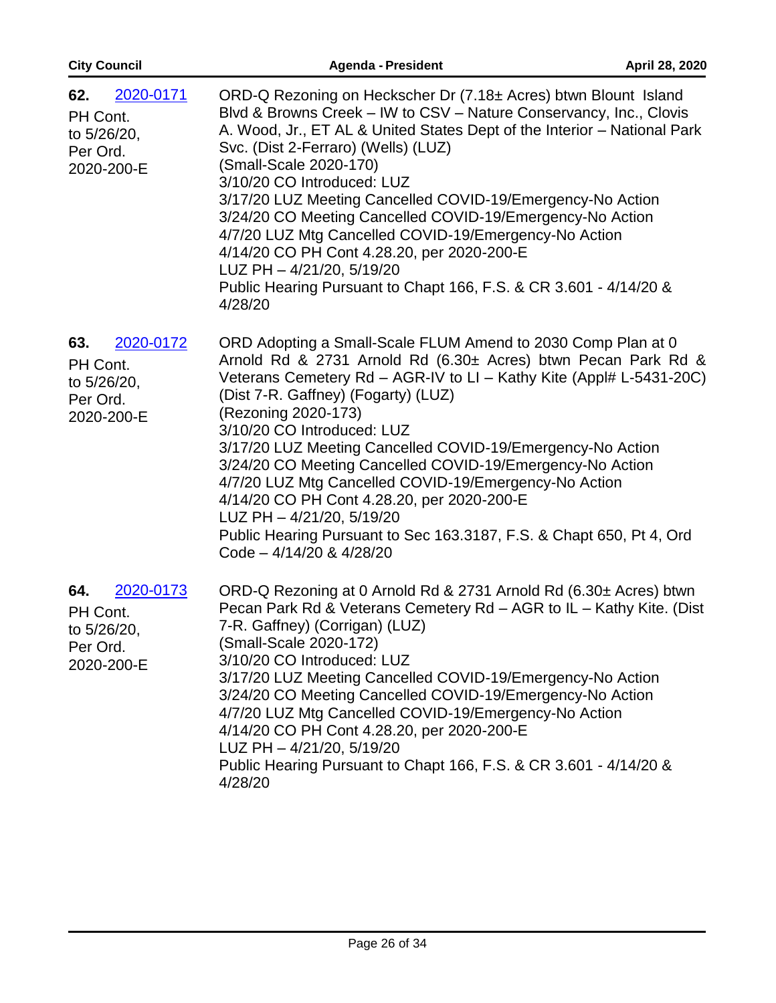| <b>City Council</b>                                                   | <b>Agenda - President</b>                                                                                                                                                                                                                                                                                                                                                                                                                                                                                                                                                                                                                                              | April 28, 2020 |
|-----------------------------------------------------------------------|------------------------------------------------------------------------------------------------------------------------------------------------------------------------------------------------------------------------------------------------------------------------------------------------------------------------------------------------------------------------------------------------------------------------------------------------------------------------------------------------------------------------------------------------------------------------------------------------------------------------------------------------------------------------|----------------|
| 2020-0171<br>62.<br>PH Cont.<br>to 5/26/20,<br>Per Ord.<br>2020-200-E | ORD-Q Rezoning on Heckscher Dr (7.18± Acres) btwn Blount Island<br>Blvd & Browns Creek - IW to CSV - Nature Conservancy, Inc., Clovis<br>A. Wood, Jr., ET AL & United States Dept of the Interior - National Park<br>Svc. (Dist 2-Ferraro) (Wells) (LUZ)<br>(Small-Scale 2020-170)<br>3/10/20 CO Introduced: LUZ<br>3/17/20 LUZ Meeting Cancelled COVID-19/Emergency-No Action<br>3/24/20 CO Meeting Cancelled COVID-19/Emergency-No Action<br>4/7/20 LUZ Mtg Cancelled COVID-19/Emergency-No Action<br>4/14/20 CO PH Cont 4.28.20, per 2020-200-E<br>LUZ PH - 4/21/20, 5/19/20<br>Public Hearing Pursuant to Chapt 166, F.S. & CR 3.601 - 4/14/20 &<br>4/28/20        |                |
| 63.<br>2020-0172<br>PH Cont.<br>to 5/26/20,<br>Per Ord.<br>2020-200-E | ORD Adopting a Small-Scale FLUM Amend to 2030 Comp Plan at 0<br>Arnold Rd & 2731 Arnold Rd (6.30± Acres) btwn Pecan Park Rd &<br>Veterans Cemetery Rd - AGR-IV to LI - Kathy Kite (Appl# L-5431-20C)<br>(Dist 7-R. Gaffney) (Fogarty) (LUZ)<br>(Rezoning 2020-173)<br>3/10/20 CO Introduced: LUZ<br>3/17/20 LUZ Meeting Cancelled COVID-19/Emergency-No Action<br>3/24/20 CO Meeting Cancelled COVID-19/Emergency-No Action<br>4/7/20 LUZ Mtg Cancelled COVID-19/Emergency-No Action<br>4/14/20 CO PH Cont 4.28.20, per 2020-200-E<br>LUZ PH - 4/21/20, 5/19/20<br>Public Hearing Pursuant to Sec 163.3187, F.S. & Chapt 650, Pt 4, Ord<br>Code $-4/14/20$ & $4/28/20$ |                |
| 2020-0173<br>64.<br>PH Cont.<br>to 5/26/20,<br>Per Ord.<br>2020-200-E | ORD-Q Rezoning at 0 Arnold Rd & 2731 Arnold Rd (6.30± Acres) btwn<br>Pecan Park Rd & Veterans Cemetery Rd - AGR to IL - Kathy Kite. (Dist<br>7-R. Gaffney) (Corrigan) (LUZ)<br>(Small-Scale 2020-172)<br>3/10/20 CO Introduced: LUZ<br>3/17/20 LUZ Meeting Cancelled COVID-19/Emergency-No Action<br>3/24/20 CO Meeting Cancelled COVID-19/Emergency-No Action<br>4/7/20 LUZ Mtg Cancelled COVID-19/Emergency-No Action<br>4/14/20 CO PH Cont 4.28.20, per 2020-200-E<br>LUZ PH - 4/21/20, 5/19/20<br>Public Hearing Pursuant to Chapt 166, F.S. & CR 3.601 - 4/14/20 &<br>4/28/20                                                                                     |                |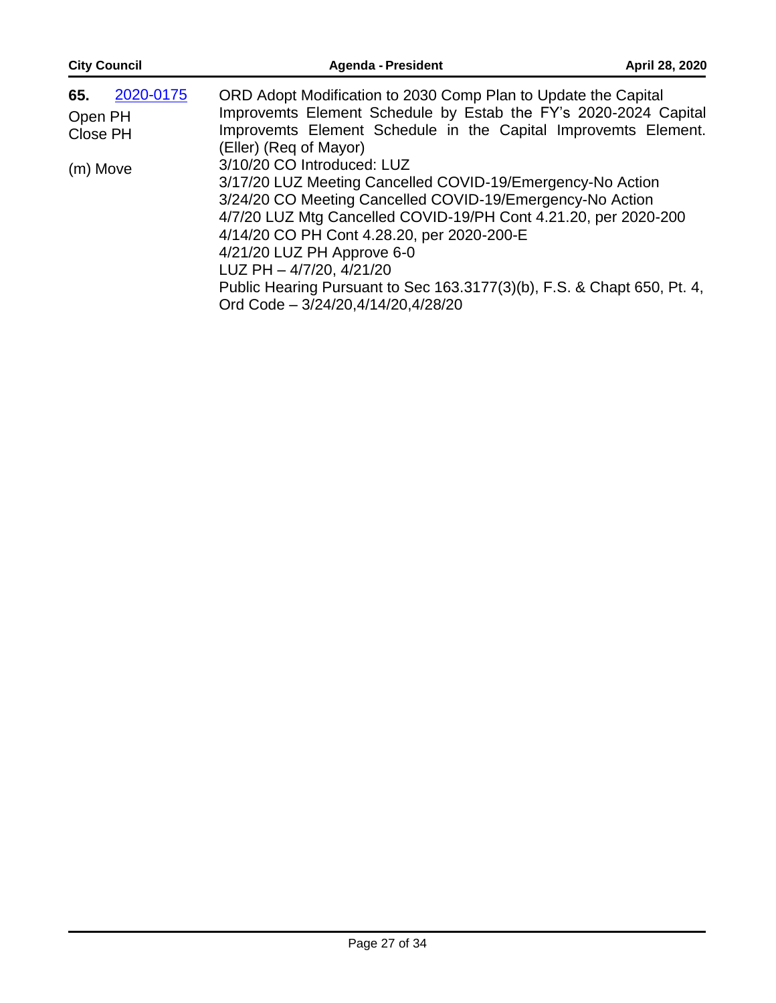| <b>City Council</b>                                 | <b>Agenda - President</b>                                                                                                                                                                                                                                                                                                                                                                                                                                                                                                                                                                                                                                                          | April 28, 2020 |
|-----------------------------------------------------|------------------------------------------------------------------------------------------------------------------------------------------------------------------------------------------------------------------------------------------------------------------------------------------------------------------------------------------------------------------------------------------------------------------------------------------------------------------------------------------------------------------------------------------------------------------------------------------------------------------------------------------------------------------------------------|----------------|
| 2020-0175<br>65.<br>Open PH<br>Close PH<br>(m) Move | ORD Adopt Modification to 2030 Comp Plan to Update the Capital<br>Improvemts Element Schedule by Estab the FY's 2020-2024 Capital<br>Improvemts Element Schedule in the Capital Improvemts Element.<br>(Eller) (Req of Mayor)<br>3/10/20 CO Introduced: LUZ<br>3/17/20 LUZ Meeting Cancelled COVID-19/Emergency-No Action<br>3/24/20 CO Meeting Cancelled COVID-19/Emergency-No Action<br>4/7/20 LUZ Mtg Cancelled COVID-19/PH Cont 4.21.20, per 2020-200<br>4/14/20 CO PH Cont 4.28.20, per 2020-200-E<br>4/21/20 LUZ PH Approve 6-0<br>LUZ PH - 4/7/20, 4/21/20<br>Public Hearing Pursuant to Sec 163.3177(3)(b), F.S. & Chapt 650, Pt. 4,<br>Ord Code - 3/24/20,4/14/20,4/28/20 |                |
|                                                     |                                                                                                                                                                                                                                                                                                                                                                                                                                                                                                                                                                                                                                                                                    |                |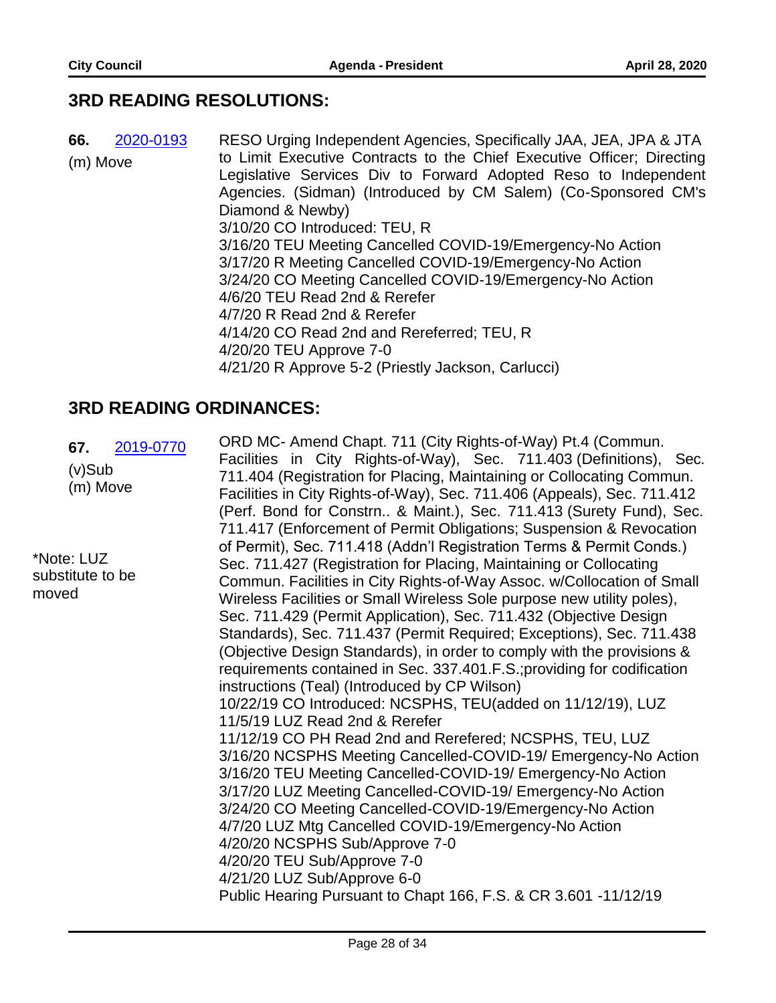#### **3RD READING RESOLUTIONS:**

**66.** 2020-0193 RESO Urging Independent Agencies, Specifically JAA, JEA, JPA & JTA (m) Move to Limit Executive Contracts to the Chief Executive Officer; Directing Legislative Services Div to Forward Adopted Reso to Independent Agencies. (Sidman) (Introduced by CM Salem) (Co-Sponsored CM's Diamond & Newby) 3/10/20 CO Introduced: TEU, R 3/16/20 TEU Meeting Cancelled COVID-19/Emergency-No Action 3/17/20 R Meeting Cancelled COVID-19/Emergency-No Action 3/24/20 CO Meeting Cancelled COVID-19/Emergency-No Action 4/6/20 TEU Read 2nd & Rerefer 4/7/20 R Read 2nd & Rerefer 4/14/20 CO Read 2nd and Rereferred; TEU, R 4/20/20 TEU Approve 7-0 4/21/20 R Approve 5-2 (Priestly Jackson, Carlucci)

#### **3RD READING ORDINANCES:**

**67.** 2019-0770 (v)Sub (m) Move \*Note: LUZ substitute to be moved ORD MC- Amend Chapt. 711 (City Rights-of-Way) Pt.4 (Commun. Facilities in City Rights-of-Way), Sec. 711.403 (Definitions), Sec. 711.404 (Registration for Placing, Maintaining or Collocating Commun. Facilities in City Rights-of-Way), Sec. 711.406 (Appeals), Sec. 711.412 (Perf. Bond for Constrn.. & Maint.), Sec. 711.413 (Surety Fund), Sec. 711.417 (Enforcement of Permit Obligations; Suspension & Revocation of Permit), Sec. 711.418 (Addn'l Registration Terms & Permit Conds.) Sec. 711.427 (Registration for Placing, Maintaining or Collocating Commun. Facilities in City Rights-of-Way Assoc. w/Collocation of Small Wireless Facilities or Small Wireless Sole purpose new utility poles), Sec. 711.429 (Permit Application), Sec. 711.432 (Objective Design Standards), Sec. 711.437 (Permit Required; Exceptions), Sec. 711.438 (Objective Design Standards), in order to comply with the provisions & requirements contained in Sec. 337.401.F.S.;providing for codification instructions (Teal) (Introduced by CP Wilson) 10/22/19 CO Introduced: NCSPHS, TEU(added on 11/12/19), LUZ 11/5/19 LUZ Read 2nd & Rerefer 11/12/19 CO PH Read 2nd and Rerefered; NCSPHS, TEU, LUZ 3/16/20 NCSPHS Meeting Cancelled-COVID-19/ Emergency-No Action 3/16/20 TEU Meeting Cancelled-COVID-19/ Emergency-No Action 3/17/20 LUZ Meeting Cancelled-COVID-19/ Emergency-No Action 3/24/20 CO Meeting Cancelled-COVID-19/Emergency-No Action 4/7/20 LUZ Mtg Cancelled COVID-19/Emergency-No Action 4/20/20 NCSPHS Sub/Approve 7-0 4/20/20 TEU Sub/Approve 7-0 4/21/20 LUZ Sub/Approve 6-0 Public Hearing Pursuant to Chapt 166, F.S. & CR 3.601 -11/12/19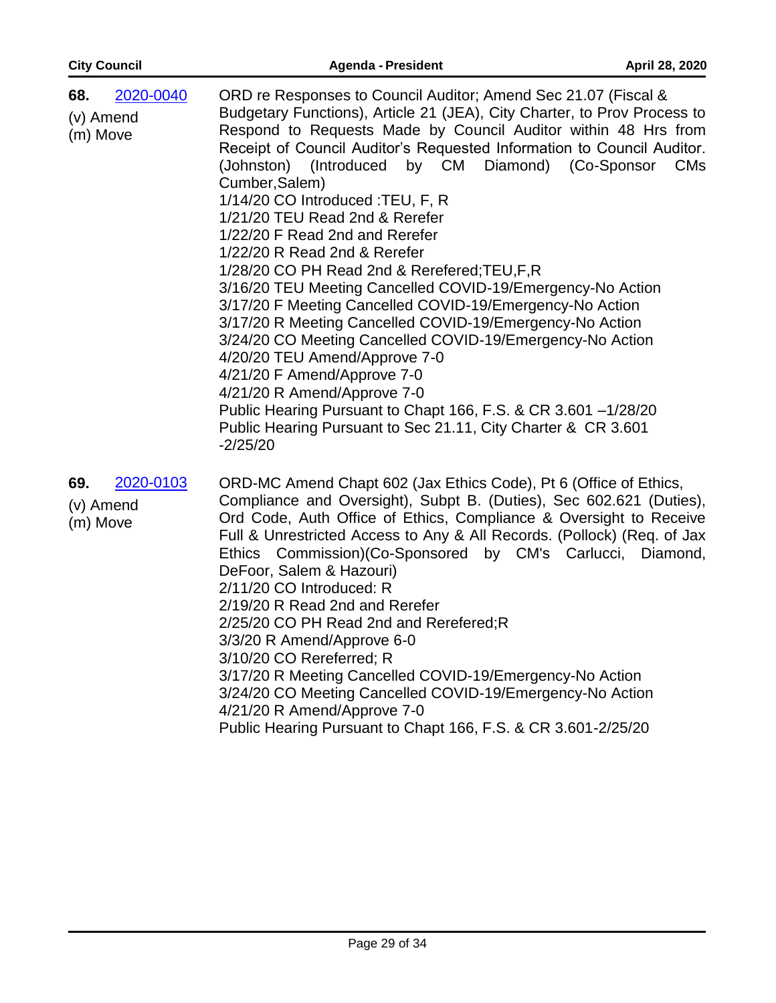| <b>City Council</b>                       | <b>Agenda - President</b>                                                                                                                                                                                                                                                                                                                                                                                                                                                                                                                                                                                                                                                                                                                                                                                                                                                                                                                                                                                                                                  | April 28, 2020        |
|-------------------------------------------|------------------------------------------------------------------------------------------------------------------------------------------------------------------------------------------------------------------------------------------------------------------------------------------------------------------------------------------------------------------------------------------------------------------------------------------------------------------------------------------------------------------------------------------------------------------------------------------------------------------------------------------------------------------------------------------------------------------------------------------------------------------------------------------------------------------------------------------------------------------------------------------------------------------------------------------------------------------------------------------------------------------------------------------------------------|-----------------------|
| 2020-0040<br>68.<br>(v) Amend<br>(m) Move | ORD re Responses to Council Auditor; Amend Sec 21.07 (Fiscal &<br>Budgetary Functions), Article 21 (JEA), City Charter, to Prov Process to<br>Respond to Requests Made by Council Auditor within 48 Hrs from<br>Receipt of Council Auditor's Requested Information to Council Auditor.<br>(Johnston) (Introduced by CM Diamond) (Co-Sponsor<br>Cumber, Salem)<br>1/14/20 CO Introduced : TEU, F, R<br>1/21/20 TEU Read 2nd & Rerefer<br>1/22/20 F Read 2nd and Rerefer<br>1/22/20 R Read 2nd & Rerefer<br>1/28/20 CO PH Read 2nd & Rerefered; TEU, F, R<br>3/16/20 TEU Meeting Cancelled COVID-19/Emergency-No Action<br>3/17/20 F Meeting Cancelled COVID-19/Emergency-No Action<br>3/17/20 R Meeting Cancelled COVID-19/Emergency-No Action<br>3/24/20 CO Meeting Cancelled COVID-19/Emergency-No Action<br>4/20/20 TEU Amend/Approve 7-0<br>4/21/20 F Amend/Approve 7-0<br>4/21/20 R Amend/Approve 7-0<br>Public Hearing Pursuant to Chapt 166, F.S. & CR 3.601 -1/28/20<br>Public Hearing Pursuant to Sec 21.11, City Charter & CR 3.601<br>$-2/25/20$ | <b>CM<sub>s</sub></b> |
| 2020-0103<br>69.<br>(v) Amend<br>(m) Move | ORD-MC Amend Chapt 602 (Jax Ethics Code), Pt 6 (Office of Ethics,<br>Compliance and Oversight), Subpt B. (Duties), Sec 602.621 (Duties),<br>Ord Code, Auth Office of Ethics, Compliance & Oversight to Receive<br>Full & Unrestricted Access to Any & All Records. (Pollock) (Req. of Jax<br>Ethics Commission) (Co-Sponsored by CM's Carlucci,<br>DeFoor, Salem & Hazouri)<br>2/11/20 CO Introduced: R<br>2/19/20 R Read 2nd and Rerefer<br>2/25/20 CO PH Read 2nd and Rerefered; R<br>3/3/20 R Amend/Approve 6-0<br>3/10/20 CO Rereferred; R<br>3/17/20 R Meeting Cancelled COVID-19/Emergency-No Action<br>3/24/20 CO Meeting Cancelled COVID-19/Emergency-No Action<br>4/21/20 R Amend/Approve 7-0<br>Public Hearing Pursuant to Chapt 166, F.S. & CR 3.601-2/25/20                                                                                                                                                                                                                                                                                    | Diamond,              |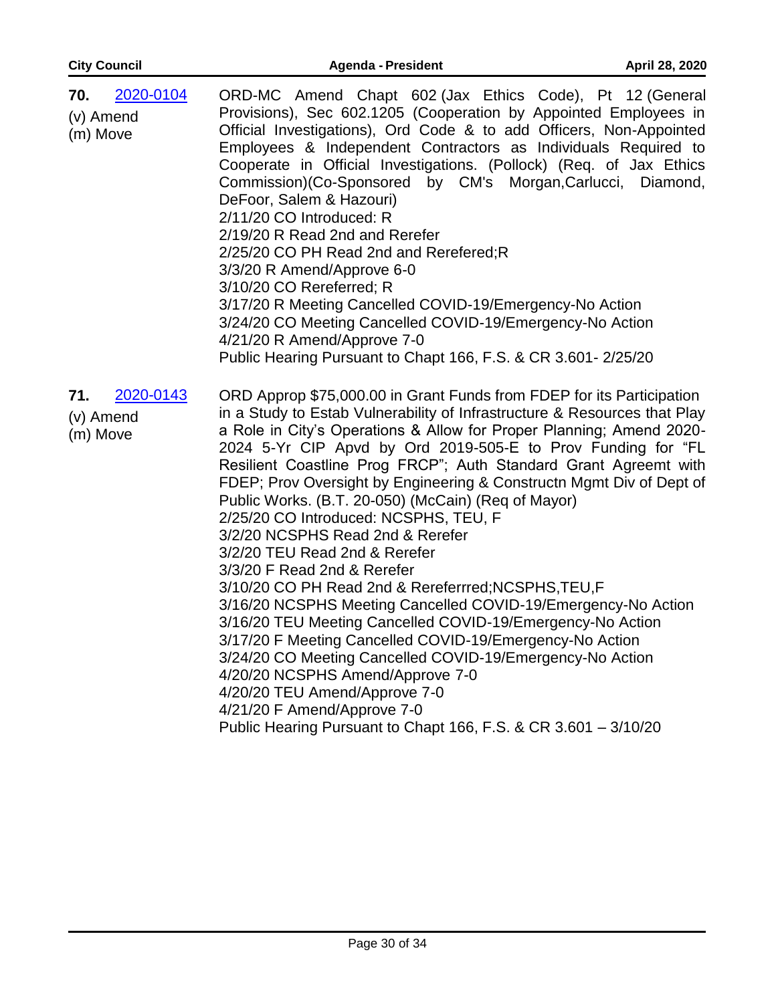| <b>City Council</b>                       | <b>Agenda - President</b>                                                                                                                                                                                                                                                                                                                                                                                                                                                                                                                                                                                                                                                                                                                                                                                                                                                                                                                                                                                                                                      | April 28, 2020 |
|-------------------------------------------|----------------------------------------------------------------------------------------------------------------------------------------------------------------------------------------------------------------------------------------------------------------------------------------------------------------------------------------------------------------------------------------------------------------------------------------------------------------------------------------------------------------------------------------------------------------------------------------------------------------------------------------------------------------------------------------------------------------------------------------------------------------------------------------------------------------------------------------------------------------------------------------------------------------------------------------------------------------------------------------------------------------------------------------------------------------|----------------|
| 2020-0104<br>70.<br>(v) Amend<br>(m) Move | ORD-MC Amend Chapt 602 (Jax Ethics Code), Pt 12 (General<br>Provisions), Sec 602.1205 (Cooperation by Appointed Employees in<br>Official Investigations), Ord Code & to add Officers, Non-Appointed<br>Employees & Independent Contractors as Individuals Required to<br>Cooperate in Official Investigations. (Pollock) (Req. of Jax Ethics<br>Commission)(Co-Sponsored by CM's Morgan, Carlucci, Diamond,<br>DeFoor, Salem & Hazouri)<br>2/11/20 CO Introduced: R<br>2/19/20 R Read 2nd and Rerefer<br>2/25/20 CO PH Read 2nd and Rerefered; R<br>3/3/20 R Amend/Approve 6-0<br>3/10/20 CO Rereferred; R<br>3/17/20 R Meeting Cancelled COVID-19/Emergency-No Action<br>3/24/20 CO Meeting Cancelled COVID-19/Emergency-No Action<br>4/21/20 R Amend/Approve 7-0<br>Public Hearing Pursuant to Chapt 166, F.S. & CR 3.601-2/25/20                                                                                                                                                                                                                            |                |
| 71.<br>2020-0143<br>(v) Amend<br>(m) Move | ORD Approp \$75,000.00 in Grant Funds from FDEP for its Participation<br>in a Study to Estab Vulnerability of Infrastructure & Resources that Play<br>a Role in City's Operations & Allow for Proper Planning; Amend 2020-<br>2024 5-Yr CIP Apvd by Ord 2019-505-E to Prov Funding for "FL<br>Resilient Coastline Prog FRCP"; Auth Standard Grant Agreemt with<br>FDEP; Prov Oversight by Engineering & Constructn Mgmt Div of Dept of<br>Public Works. (B.T. 20-050) (McCain) (Req of Mayor)<br>2/25/20 CO Introduced: NCSPHS, TEU, F<br>3/2/20 NCSPHS Read 2nd & Rerefer<br>3/2/20 TEU Read 2nd & Rerefer<br>3/3/20 F Read 2nd & Rerefer<br>3/10/20 CO PH Read 2nd & Rereferrred; NCSPHS, TEU, F<br>3/16/20 NCSPHS Meeting Cancelled COVID-19/Emergency-No Action<br>3/16/20 TEU Meeting Cancelled COVID-19/Emergency-No Action<br>3/17/20 F Meeting Cancelled COVID-19/Emergency-No Action<br>3/24/20 CO Meeting Cancelled COVID-19/Emergency-No Action<br>4/20/20 NCSPHS Amend/Approve 7-0<br>4/20/20 TEU Amend/Approve 7-0<br>4/21/20 F Amend/Approve 7-0 |                |

Public Hearing Pursuant to Chapt 166, F.S. & CR 3.601 – 3/10/20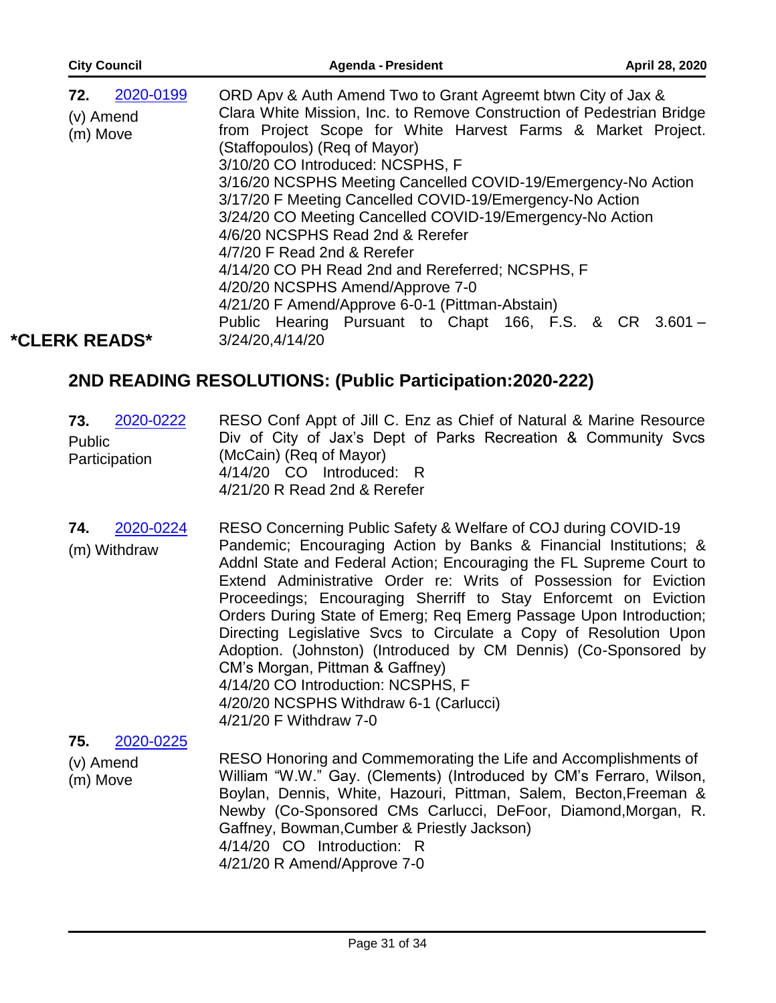| <b>City Council</b>                       | <b>Agenda - President</b>                                                                                                                                                                                                                                                                                                                                                                                                                                                                                                               | April 28, 2020 |
|-------------------------------------------|-----------------------------------------------------------------------------------------------------------------------------------------------------------------------------------------------------------------------------------------------------------------------------------------------------------------------------------------------------------------------------------------------------------------------------------------------------------------------------------------------------------------------------------------|----------------|
| 2020-0199<br>72.<br>(v) Amend<br>(m) Move | ORD Apv & Auth Amend Two to Grant Agreemt btwn City of Jax &<br>Clara White Mission, Inc. to Remove Construction of Pedestrian Bridge<br>from Project Scope for White Harvest Farms & Market Project.<br>(Staffopoulos) (Reg of Mayor)<br>3/10/20 CO Introduced: NCSPHS, F<br>3/16/20 NCSPHS Meeting Cancelled COVID-19/Emergency-No Action<br>3/17/20 F Meeting Cancelled COVID-19/Emergency-No Action<br>3/24/20 CO Meeting Cancelled COVID-19/Emergency-No Action<br>4/6/20 NCSPHS Read 2nd & Rerefer<br>4/7/20 F Read 2nd & Rerefer |                |
| <b>*CLERK READS*</b>                      | 4/14/20 CO PH Read 2nd and Rereferred; NCSPHS, F<br>4/20/20 NCSPHS Amend/Approve 7-0<br>4/21/20 F Amend/Approve 6-0-1 (Pittman-Abstain)<br>Public Hearing Pursuant to Chapt 166, F.S. & CR 3.601 -<br>3/24/20,4/14/20                                                                                                                                                                                                                                                                                                                   |                |

## **2ND READING RESOLUTIONS: (Public Participation:2020-222)**

| 73.<br>2020-0222<br>Public<br>Participation | RESO Conf Appt of Jill C. Enz as Chief of Natural & Marine Resource<br>Div of City of Jax's Dept of Parks Recreation & Community Svcs<br>(McCain) (Reg of Mayor)<br>4/14/20 CO Introduced: R<br>4/21/20 R Read 2nd & Rerefer |
|---------------------------------------------|------------------------------------------------------------------------------------------------------------------------------------------------------------------------------------------------------------------------------|
|---------------------------------------------|------------------------------------------------------------------------------------------------------------------------------------------------------------------------------------------------------------------------------|

RESO Concerning Public Safety & Welfare of COJ during COVID-19 Pandemic; Encouraging Action by Banks & Financial Institutions; & Addnl State and Federal Action; Encouraging the FL Supreme Court to Extend Administrative Order re: Writs of Possession for Eviction Proceedings; Encouraging Sherriff to Stay Enforcemt on Eviction Orders During State of Emerg; Req Emerg Passage Upon Introduction; Directing Legislative Svcs to Circulate a Copy of Resolution Upon Adoption. (Johnston) (Introduced by CM Dennis) (Co-Sponsored by CM's Morgan, Pittman & Gaffney) 4/14/20 CO Introduction: NCSPHS, F 4/20/20 NCSPHS Withdraw 6-1 (Carlucci) 4/21/20 F Withdraw 7-0 **74.** 2020-0224 (m) Withdraw

**75.** 2020-0225

RESO Honoring and Commemorating the Life and Accomplishments of (v) Amend (m) Move William "W.W." Gay. (Clements) (Introduced by CM's Ferraro, Wilson, Boylan, Dennis, White, Hazouri, Pittman, Salem, Becton,Freeman & Newby (Co-Sponsored CMs Carlucci, DeFoor, Diamond,Morgan, R. Gaffney, Bowman,Cumber & Priestly Jackson) 4/14/20 CO Introduction: R 4/21/20 R Amend/Approve 7-0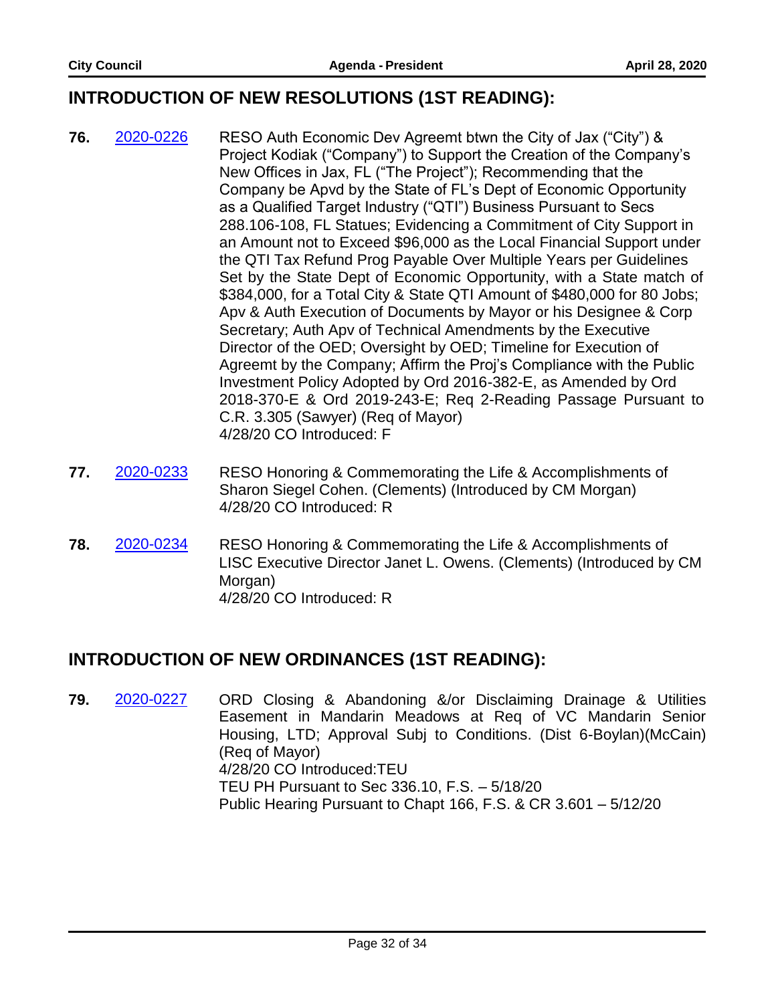#### **INTRODUCTION OF NEW RESOLUTIONS (1ST READING):**

- **76.** 2020-0226 RESO Auth Economic Dev Agreemt btwn the City of Jax ("City") & Project Kodiak ("Company") to Support the Creation of the Company's New Offices in Jax, FL ("The Project"); Recommending that the Company be Apvd by the State of FL's Dept of Economic Opportunity as a Qualified Target Industry ("QTI") Business Pursuant to Secs 288.106-108, FL Statues; Evidencing a Commitment of City Support in an Amount not to Exceed \$96,000 as the Local Financial Support under the QTI Tax Refund Prog Payable Over Multiple Years per Guidelines Set by the State Dept of Economic Opportunity, with a State match of \$384,000, for a Total City & State QTI Amount of \$480,000 for 80 Jobs; Apv & Auth Execution of Documents by Mayor or his Designee & Corp Secretary; Auth Apv of Technical Amendments by the Executive Director of the OED; Oversight by OED; Timeline for Execution of Agreemt by the Company; Affirm the Proj's Compliance with the Public Investment Policy Adopted by Ord 2016-382-E, as Amended by Ord 2018-370-E & Ord 2019-243-E; Req 2-Reading Passage Pursuant to C.R. 3.305 (Sawyer) (Req of Mayor) 4/28/20 CO Introduced: F
- **77.** 2020-0233 RESO Honoring & Commemorating the Life & Accomplishments of Sharon Siegel Cohen. (Clements) (Introduced by CM Morgan) 4/28/20 CO Introduced: R
- **78.** 2020-0234 RESO Honoring & Commemorating the Life & Accomplishments of LISC Executive Director Janet L. Owens. (Clements) (Introduced by CM Morgan) 4/28/20 CO Introduced: R

#### **INTRODUCTION OF NEW ORDINANCES (1ST READING):**

**79.** 2020-0227 ORD Closing & Abandoning &/or Disclaiming Drainage & Utilities Easement in Mandarin Meadows at Req of VC Mandarin Senior Housing, LTD; Approval Subj to Conditions. (Dist 6-Boylan)(McCain) (Req of Mayor) 4/28/20 CO Introduced:TEU TEU PH Pursuant to Sec 336.10, F.S. – 5/18/20 Public Hearing Pursuant to Chapt 166, F.S. & CR 3.601 – 5/12/20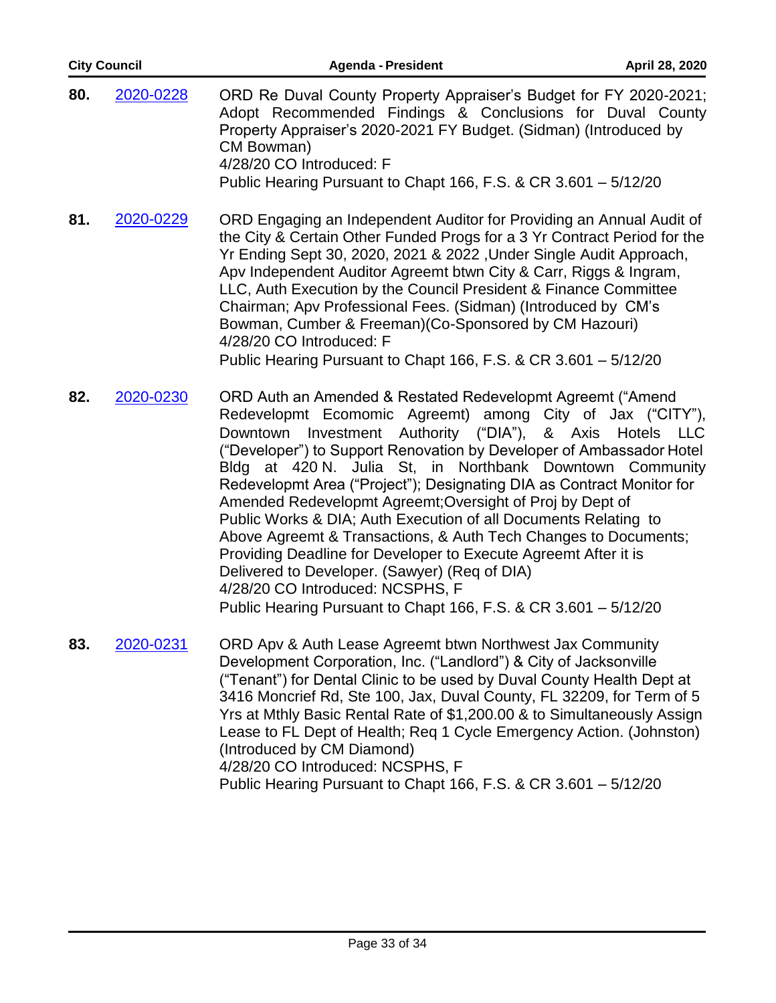| <b>City Council</b> |           | <b>Agenda - President</b>                                                                                                                                                                                                                                                                                                                                                                                                                                                                                                                                                                                                                                                                                                                                                                                       | April 28, 2020              |
|---------------------|-----------|-----------------------------------------------------------------------------------------------------------------------------------------------------------------------------------------------------------------------------------------------------------------------------------------------------------------------------------------------------------------------------------------------------------------------------------------------------------------------------------------------------------------------------------------------------------------------------------------------------------------------------------------------------------------------------------------------------------------------------------------------------------------------------------------------------------------|-----------------------------|
| 80.                 | 2020-0228 | ORD Re Duval County Property Appraiser's Budget for FY 2020-2021;<br>Adopt Recommended Findings & Conclusions for Duval County<br>Property Appraiser's 2020-2021 FY Budget. (Sidman) (Introduced by<br>CM Bowman)<br>4/28/20 CO Introduced: F<br>Public Hearing Pursuant to Chapt 166, F.S. & CR 3.601 - 5/12/20                                                                                                                                                                                                                                                                                                                                                                                                                                                                                                |                             |
| 81.                 | 2020-0229 | ORD Engaging an Independent Auditor for Providing an Annual Audit of<br>the City & Certain Other Funded Progs for a 3 Yr Contract Period for the<br>Yr Ending Sept 30, 2020, 2021 & 2022, Under Single Audit Approach,<br>Apv Independent Auditor Agreemt btwn City & Carr, Riggs & Ingram,<br>LLC, Auth Execution by the Council President & Finance Committee<br>Chairman; Apv Professional Fees. (Sidman) (Introduced by CM's<br>Bowman, Cumber & Freeman) (Co-Sponsored by CM Hazouri)<br>4/28/20 CO Introduced: F<br>Public Hearing Pursuant to Chapt 166, F.S. & CR 3.601 - 5/12/20                                                                                                                                                                                                                       |                             |
| 82.                 | 2020-0230 | ORD Auth an Amended & Restated Redevelopmt Agreemt ("Amend<br>Redevelopmt Ecomomic Agreemt) among City of Jax ("CITY"),<br>Investment Authority ("DIA"),<br>Downtown<br>("Developer") to Support Renovation by Developer of Ambassador Hotel<br>Bldg at 420 N. Julia St, in Northbank Downtown Community<br>Redevelopmt Area ("Project"); Designating DIA as Contract Monitor for<br>Amended Redevelopmt Agreemt; Oversight of Proj by Dept of<br>Public Works & DIA; Auth Execution of all Documents Relating to<br>Above Agreemt & Transactions, & Auth Tech Changes to Documents;<br>Providing Deadline for Developer to Execute Agreemt After it is<br>Delivered to Developer. (Sawyer) (Req of DIA)<br>4/28/20 CO Introduced: NCSPHS, F<br>Public Hearing Pursuant to Chapt 166, F.S. & CR 3.601 - 5/12/20 | & Axis Hotels<br><b>LLC</b> |
| 83.                 | 2020-0231 | ORD Apv & Auth Lease Agreemt btwn Northwest Jax Community<br>Development Corporation, Inc. ("Landlord") & City of Jacksonville<br>("Tenant") for Dental Clinic to be used by Duval County Health Dept at<br>3416 Moncrief Rd, Ste 100, Jax, Duval County, FL 32209, for Term of 5                                                                                                                                                                                                                                                                                                                                                                                                                                                                                                                               |                             |

Yrs at Mthly Basic Rental Rate of \$1,200.00 & to Simultaneously Assign Lease to FL Dept of Health; Req 1 Cycle Emergency Action. (Johnston) (Introduced by CM Diamond) 4/28/20 CO Introduced: NCSPHS, F

Public Hearing Pursuant to Chapt 166, F.S. & CR 3.601 – 5/12/20